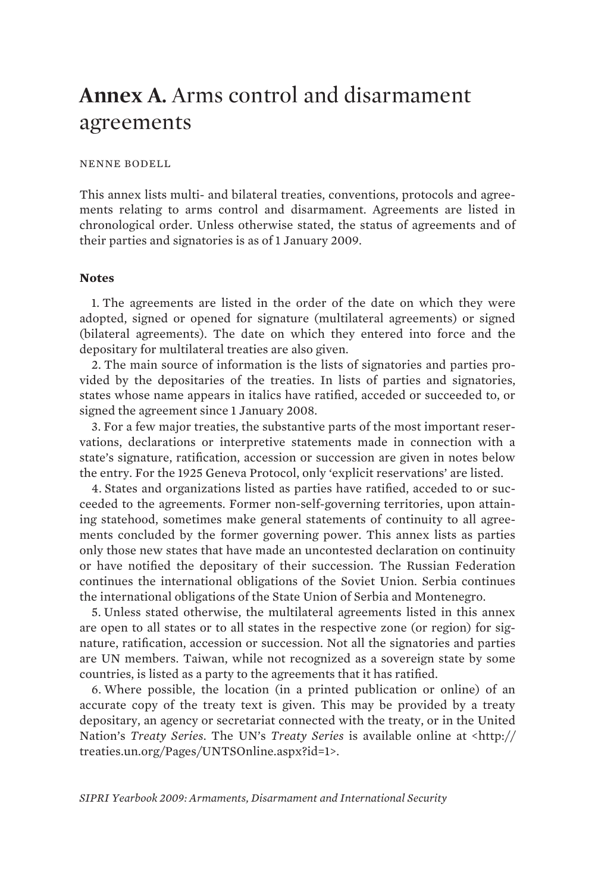# **Annex A.** Arms control and disarmament agreements

#### NENNE BODELL

This annex lists multi- and bilateral treaties, conventions, protocols and agreements relating to arms control and disarmament. Agreements are listed in chronological order. Unless otherwise stated, the status of agreements and of their parties and signatories is as of 1 January 2009.

#### **Notes**

1. The agreements are listed in the order of the date on which they were adopted, signed or opened for signature (multilateral agreements) or signed (bilateral agreements). The date on which they entered into force and the depositary for multilateral treaties are also given.

2. The main source of information is the lists of signatories and parties provided by the depositaries of the treaties. In lists of parties and signatories, states whose name appears in italics have ratified, acceded or succeeded to, or signed the agreement since 1 January 2008.

3. For a few major treaties, the substantive parts of the most important reservations, declarations or interpretive statements made in connection with a state's signature, ratification, accession or succession are given in notes below the entry. For the 1925 Geneva Protocol, only 'explicit reservations' are listed.

4. States and organizations listed as parties have ratified, acceded to or succeeded to the agreements. Former non-self-governing territories, upon attaining statehood, sometimes make general statements of continuity to all agreements concluded by the former governing power. This annex lists as parties only those new states that have made an uncontested declaration on continuity or have notified the depositary of their succession. The Russian Federation continues the international obligations of the Soviet Union. Serbia continues the international obligations of the State Union of Serbia and Montenegro.

5. Unless stated otherwise, the multilateral agreements listed in this annex are open to all states or to all states in the respective zone (or region) for signature, ratification, accession or succession. Not all the signatories and parties are UN members. Taiwan, while not recognized as a sovereign state by some countries, is listed as a party to the agreements that it has ratified.

6. Where possible, the location (in a printed publication or online) of an accurate copy of the treaty text is given. This may be provided by a treaty depositary, an agency or secretariat connected with the treaty, or in the United Nation's *Treaty Series*. The UN's *Treaty Series* is available online at <http:// treaties.un.org/Pages/UNTSOnline.aspx?id=1>.

*SIPRI Yearbook 2009: Armaments, Disarmament and International Security*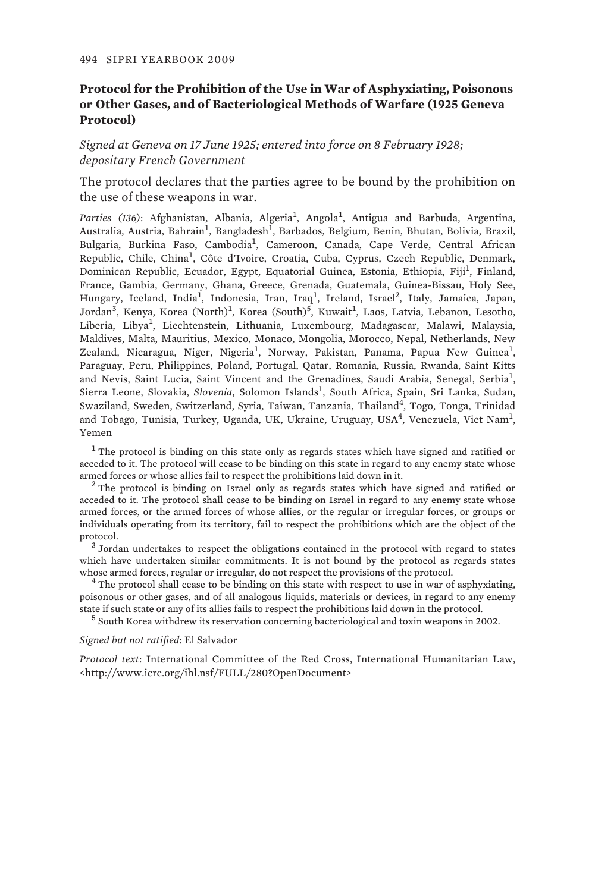#### **Protocol for the Prohibition of the Use in War of Asphyxiating, Poisonous or Other Gases, and of Bacteriological Methods of Warfare (1925 Geneva Protocol)**

*Signed at Geneva on 17 June 1925; entered into force on 8 February 1928; depositary French Government* 

The protocol declares that the parties agree to be bound by the prohibition on the use of these weapons in war.

Parties (136): Afghanistan, Albania, Algeria<sup>1</sup>, Angola<sup>1</sup>, Antigua and Barbuda, Argentina, Australia, Austria, Bahrain<sup>1</sup>, Bangladesh<sup>1</sup>, Barbados, Belgium, Benin, Bhutan, Bolivia, Brazil, Bulgaria, Burkina Faso, Cambodia<sup>1</sup>, Cameroon, Canada, Cape Verde, Central African Republic, Chile, China<sup>1</sup>, Côte d'Ivoire, Croatia, Cuba, Cyprus, Czech Republic, Denmark, Dominican Republic, Ecuador, Egypt, Equatorial Guinea, Estonia, Ethiopia, Fiji<sup>1</sup>, Finland, France, Gambia, Germany, Ghana, Greece, Grenada, Guatemala, Guinea-Bissau, Holy See, Hungary, Iceland, India<sup>1</sup>, Indonesia, Iran, Iraq<sup>1</sup>, Ireland, Israel<sup>2</sup>, Italy, Jamaica, Japan, Jordan<sup>3</sup>, Kenya, Korea (North)<sup>1</sup>, Korea (South)<sup>5</sup>, Kuwait<sup>1</sup>, Laos, Latvia, Lebanon, Lesotho, Liberia, Libya<sup>1</sup>, Liechtenstein, Lithuania, Luxembourg, Madagascar, Malawi, Malaysia, Maldives, Malta, Mauritius, Mexico, Monaco, Mongolia, Morocco, Nepal, Netherlands, New Zealand, Nicaragua, Niger, Nigeria<sup>1</sup>, Norway, Pakistan, Panama, Papua New Guinea<sup>1</sup>, Paraguay, Peru, Philippines, Poland, Portugal, Qatar, Romania, Russia, Rwanda, Saint Kitts and Nevis, Saint Lucia, Saint Vincent and the Grenadines, Saudi Arabia, Senegal, Serbia<sup>1</sup>, Sierra Leone, Slovakia, Slovenia, Solomon Islands<sup>1</sup>, South Africa, Spain, Sri Lanka, Sudan, Swaziland, Sweden, Switzerland, Syria, Taiwan, Tanzania, Thailand<sup>4</sup>, Togo, Tonga, Trinidad and Tobago, Tunisia, Turkey, Uganda, UK, Ukraine, Uruguay, USA $^4$ , Venezuela, Viet Nam $^1$ , Yemen

<sup>1</sup> The protocol is binding on this state only as regards states which have signed and ratified or acceded to it. The protocol will cease to be binding on this state in regard to any enemy state whose armed forces or whose allies fail to respect the prohibitions laid down in it. <sup>2</sup>

 $2$  The protocol is binding on Israel only as regards states which have signed and ratified or acceded to it. The protocol shall cease to be binding on Israel in regard to any enemy state whose armed forces, or the armed forces of whose allies, or the regular or irregular forces, or groups or individuals operating from its territory, fail to respect the prohibitions which are the object of the

 $3$  Jordan undertakes to respect the obligations contained in the protocol with regard to states which have undertaken similar commitments. It is not bound by the protocol as regards states whose armed forces, regular or irregular, do not respect the provisions of the protocol. <sup>4</sup>

 $<sup>4</sup>$  The protocol shall cease to be binding on this state with respect to use in war of asphyxiating,</sup> poisonous or other gases, and of all analogous liquids, materials or devices, in regard to any enemy state if such state or any of its allies fails to respect the prohibitions laid down in the protocol. <sup>5</sup>

<sup>5</sup> South Korea withdrew its reservation concerning bacteriological and toxin weapons in 2002.

#### *Signed but not ratified*: El Salvador

*Protocol text*: International Committee of the Red Cross, International Humanitarian Law, <http://www.icrc.org/ihl.nsf/FULL/280?OpenDocument>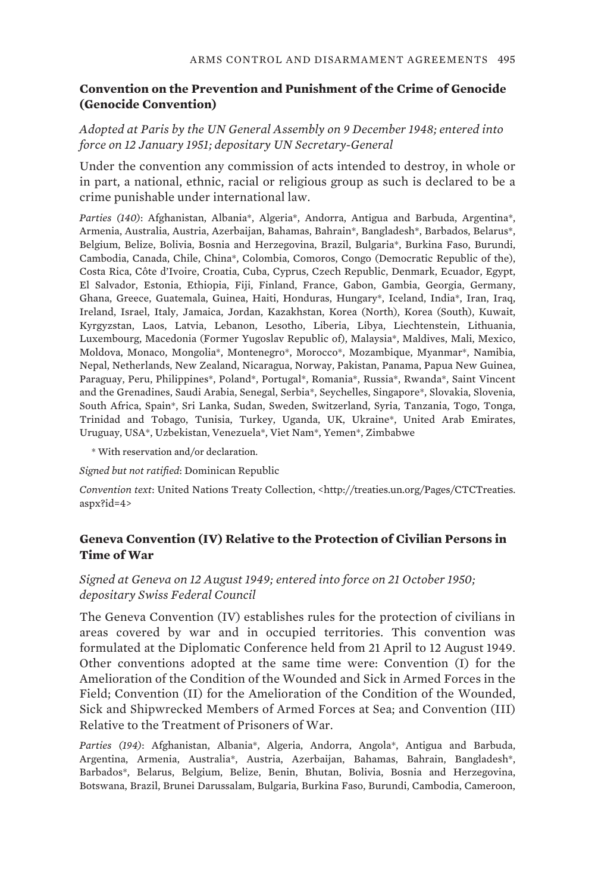## **Convention on the Prevention and Punishment of the Crime of Genocide (Genocide Convention)**

*Adopted at Paris by the UN General Assembly on 9 December 1948; entered into force on 12 January 1951; depositary UN Secretary-General* 

Under the convention any commission of acts intended to destroy, in whole or in part, a national, ethnic, racial or religious group as such is declared to be a crime punishable under international law.

*Parties (140)*: Afghanistan, Albania\*, Algeria\*, Andorra, Antigua and Barbuda, Argentina\*, Armenia, Australia, Austria, Azerbaijan, Bahamas, Bahrain\*, Bangladesh\*, Barbados, Belarus\*, Belgium, Belize, Bolivia, Bosnia and Herzegovina, Brazil, Bulgaria\*, Burkina Faso, Burundi, Cambodia, Canada, Chile, China\*, Colombia, Comoros, Congo (Democratic Republic of the), Costa Rica, Côte d'Ivoire, Croatia, Cuba, Cyprus, Czech Republic, Denmark, Ecuador, Egypt, El Salvador, Estonia, Ethiopia, Fiji, Finland, France, Gabon, Gambia, Georgia, Germany, Ghana, Greece, Guatemala, Guinea, Haiti, Honduras, Hungary\*, Iceland, India\*, Iran, Iraq, Ireland, Israel, Italy, Jamaica, Jordan, Kazakhstan, Korea (North), Korea (South), Kuwait, Kyrgyzstan, Laos, Latvia, Lebanon, Lesotho, Liberia, Libya, Liechtenstein, Lithuania, Luxembourg, Macedonia (Former Yugoslav Republic of), Malaysia\*, Maldives, Mali, Mexico, Moldova, Monaco, Mongolia\*, Montenegro\*, Morocco\*, Mozambique, Myanmar\*, Namibia, Nepal, Netherlands, New Zealand, Nicaragua, Norway, Pakistan, Panama, Papua New Guinea, Paraguay, Peru, Philippines\*, Poland\*, Portugal\*, Romania\*, Russia\*, Rwanda\*, Saint Vincent and the Grenadines, Saudi Arabia, Senegal, Serbia\*, Seychelles, Singapore\*, Slovakia, Slovenia, South Africa, Spain\*, Sri Lanka, Sudan, Sweden, Switzerland, Syria, Tanzania, Togo, Tonga, Trinidad and Tobago, Tunisia, Turkey, Uganda, UK, Ukraine\*, United Arab Emirates, Uruguay, USA\*, Uzbekistan, Venezuela\*, Viet Nam\*, Yemen\*, Zimbabwe

\* With reservation and/or declaration.

*Signed but not ratified*: Dominican Republic

*Convention text*: United Nations Treaty Collection, <http://treaties.un.org/Pages/CTCTreaties. aspx?id=4>

# **Geneva Convention (IV) Relative to the Protection of Civilian Persons in Time of War**

# *Signed at Geneva on 12 August 1949; entered into force on 21 October 1950; depositary Swiss Federal Council*

The Geneva Convention (IV) establishes rules for the protection of civilians in areas covered by war and in occupied territories. This convention was formulated at the Diplomatic Conference held from 21 April to 12 August 1949. Other conventions adopted at the same time were: Convention (I) for the Amelioration of the Condition of the Wounded and Sick in Armed Forces in the Field; Convention (II) for the Amelioration of the Condition of the Wounded, Sick and Shipwrecked Members of Armed Forces at Sea; and Convention (III) Relative to the Treatment of Prisoners of War.

*Parties (194)*: Afghanistan, Albania\*, Algeria, Andorra, Angola\*, Antigua and Barbuda, Argentina, Armenia, Australia\*, Austria, Azerbaijan, Bahamas, Bahrain, Bangladesh\*, Barbados\*, Belarus, Belgium, Belize, Benin, Bhutan, Bolivia, Bosnia and Herzegovina, Botswana, Brazil, Brunei Darussalam, Bulgaria, Burkina Faso, Burundi, Cambodia, Cameroon,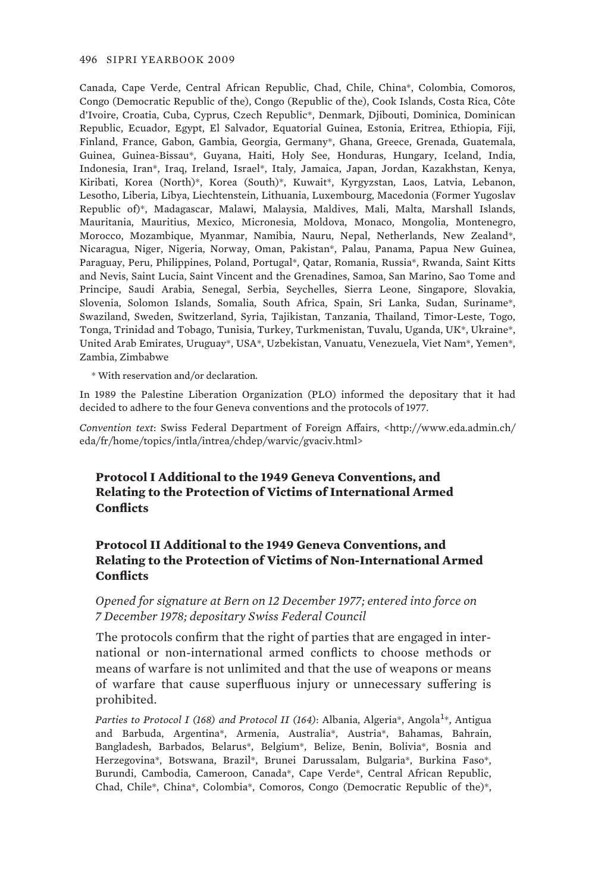Canada, Cape Verde, Central African Republic, Chad, Chile, China\*, Colombia, Comoros, Congo (Democratic Republic of the), Congo (Republic of the), Cook Islands, Costa Rica, Côte d'Ivoire, Croatia, Cuba, Cyprus, Czech Republic\*, Denmark, Djibouti, Dominica, Dominican Republic, Ecuador, Egypt, El Salvador, Equatorial Guinea, Estonia, Eritrea, Ethiopia, Fiji, Finland, France, Gabon, Gambia, Georgia, Germany\*, Ghana, Greece, Grenada, Guatemala, Guinea, Guinea-Bissau\*, Guyana, Haiti, Holy See, Honduras, Hungary, Iceland, India, Indonesia, Iran\*, Iraq, Ireland, Israel\*, Italy, Jamaica, Japan, Jordan, Kazakhstan, Kenya, Kiribati, Korea (North)\*, Korea (South)\*, Kuwait\*, Kyrgyzstan, Laos, Latvia, Lebanon, Lesotho, Liberia, Libya, Liechtenstein, Lithuania, Luxembourg, Macedonia (Former Yugoslav Republic of)\*, Madagascar, Malawi, Malaysia, Maldives, Mali, Malta, Marshall Islands, Mauritania, Mauritius, Mexico, Micronesia, Moldova, Monaco, Mongolia, Montenegro, Morocco, Mozambique, Myanmar, Namibia, Nauru, Nepal, Netherlands, New Zealand\*, Nicaragua, Niger, Nigeria, Norway, Oman, Pakistan\*, Palau, Panama, Papua New Guinea, Paraguay, Peru, Philippines, Poland, Portugal\*, Qatar, Romania, Russia\*, Rwanda, Saint Kitts and Nevis, Saint Lucia, Saint Vincent and the Grenadines, Samoa, San Marino, Sao Tome and Principe, Saudi Arabia, Senegal, Serbia, Seychelles, Sierra Leone, Singapore, Slovakia, Slovenia, Solomon Islands, Somalia, South Africa, Spain, Sri Lanka, Sudan, Suriname\*, Swaziland, Sweden, Switzerland, Syria, Tajikistan, Tanzania, Thailand, Timor-Leste, Togo, Tonga, Trinidad and Tobago, Tunisia, Turkey, Turkmenistan, Tuvalu, Uganda, UK\*, Ukraine\*, United Arab Emirates, Uruguay\*, USA\*, Uzbekistan, Vanuatu, Venezuela, Viet Nam\*, Yemen\*, Zambia, Zimbabwe

\* With reservation and/or declaration.

In 1989 the Palestine Liberation Organization (PLO) informed the depositary that it had decided to adhere to the four Geneva conventions and the protocols of 1977.

*Convention text*: Swiss Federal Department of Foreign Affairs, <http://www.eda.admin.ch/ eda/fr/home/topics/intla/intrea/chdep/warvic/gvaciv.html>

# **Protocol I Additional to the 1949 Geneva Conventions, and Relating to the Protection of Victims of International Armed Conflicts**

# **Protocol II Additional to the 1949 Geneva Conventions, and Relating to the Protection of Victims of Non-International Armed Conflicts**

#### *Opened for signature at Bern on 12 December 1977; entered into force on 7 December 1978; depositary Swiss Federal Council*

The protocols confirm that the right of parties that are engaged in international or non-international armed conflicts to choose methods or means of warfare is not unlimited and that the use of weapons or means of warfare that cause superfluous injury or unnecessary suffering is prohibited.

Parties to Protocol I (168) and Protocol II (164): Albania, Algeria\*, Angola<sup>1</sup>\*, Antigua and Barbuda, Argentina\*, Armenia, Australia\*, Austria\*, Bahamas, Bahrain, Bangladesh, Barbados, Belarus\*, Belgium\*, Belize, Benin, Bolivia\*, Bosnia and Herzegovina\*, Botswana, Brazil\*, Brunei Darussalam, Bulgaria\*, Burkina Faso\*, Burundi, Cambodia, Cameroon, Canada\*, Cape Verde\*, Central African Republic, Chad, Chile\*, China\*, Colombia\*, Comoros, Congo (Democratic Republic of the)\*,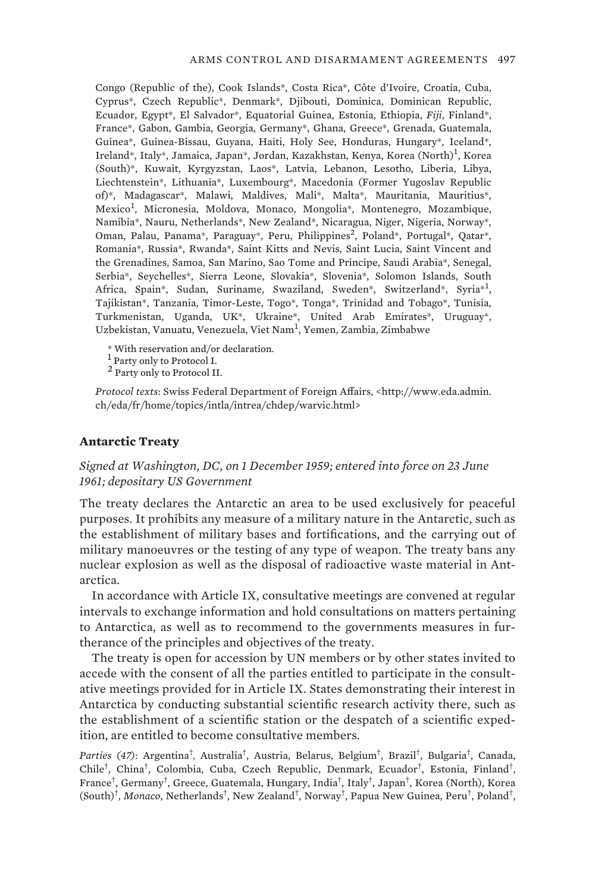Congo (Republic of the), Cook Islands\*, Costa Rica\*, Côte d'Ivoire, Croatia, Cuba, Cyprus\*, Czech Republic\*, Denmark\*, Djibouti, Dominica, Dominican Republic, Ecuador, Egypt\*, El Salvador\*, Equatorial Guinea, Estonia, Ethiopia, *Fiji*, Finland\*, France\*, Gabon, Gambia, Georgia, Germany\*, Ghana, Greece\*, Grenada, Guatemala, Guinea\*, Guinea-Bissau, Guyana, Haiti, Holy See, Honduras, Hungary\*, Iceland\*, Ireland\*, Italy\*, Jamaica, Japan\*, Jordan, Kazakhstan, Kenya, Korea (North)<sup>1</sup>, Korea (South)\*, Kuwait, Kyrgyzstan, Laos\*, Latvia, Lebanon, Lesotho, Liberia, Libya, Liechtenstein\*, Lithuania\*, Luxembourg\*, Macedonia (Former Yugoslav Republic of)\*, Madagascar\*, Malawi, Maldives, Mali\*, Malta\*, Mauritania, Mauritius\*, Mexico<sup>1</sup>, Micronesia, Moldova, Monaco, Mongolia\*, Montenegro, Mozambique, Namibia\*, Nauru, Netherlands\*, New Zealand\*, Nicaragua, Niger, Nigeria, Norway\*, Oman, Palau, Panama\*, Paraguay\*, Peru, Philippines<sup>2</sup>, Poland\*, Portugal\*, Qatar\*, Romania\*, Russia\*, Rwanda\*, Saint Kitts and Nevis, Saint Lucia, Saint Vincent and the Grenadines, Samoa, San Marino, Sao Tome and Principe, Saudi Arabia\*, Senegal, Serbia\*, Seychelles\*, Sierra Leone, Slovakia\*, Slovenia\*, Solomon Islands, South Africa, Spain\*, Sudan, Suriname, Swaziland, Sweden\*, Switzerland\*, Syria\*<sup>1</sup>, Tajikistan\*, Tanzania, Timor-Leste, Togo\*, Tonga\*, Trinidad and Tobago\*, Tunisia, Turkmenistan, Uganda, UK\*, Ukraine\*, United Arab Emirates\*, Uruguay\*, Uzbekistan, Vanuatu, Venezuela, Viet Nam<sup>1</sup>, Yemen, Zambia, Zimbabwe

\* With reservation and/or declaration.

1 Party only to Protocol I.

2 Party only to Protocol II.

*Protocol texts*: Swiss Federal Department of Foreign Affairs, <http://www.eda.admin. ch/eda/fr/home/topics/intla/intrea/chdep/warvic.html>

#### **Antarctic Treaty**

#### *Signed at Washington, DC, on 1 December 1959; entered into force on 23 June 1961; depositary US Government*

The treaty declares the Antarctic an area to be used exclusively for peaceful purposes. It prohibits any measure of a military nature in the Antarctic, such as the establishment of military bases and fortifications, and the carrying out of military manoeuvres or the testing of any type of weapon. The treaty bans any nuclear explosion as well as the disposal of radioactive waste material in Antarctica.

In accordance with Article IX, consultative meetings are convened at regular intervals to exchange information and hold consultations on matters pertaining to Antarctica, as well as to recommend to the governments measures in furtherance of the principles and objectives of the treaty.

The treaty is open for accession by UN members or by other states invited to accede with the consent of all the parties entitled to participate in the consultative meetings provided for in Article IX. States demonstrating their interest in Antarctica by conducting substantial scientific research activity there, such as the establishment of a scientific station or the despatch of a scientific expedition, are entitled to become consultative members.

*Parties (47)*: Argentina† , Australia† , Austria, Belarus, Belgium† , Brazil† , Bulgaria† , Canada, Chile† , China† , Colombia, Cuba, Czech Republic, Denmark, Ecuador† , Estonia, Finland† , France $^\dagger$ , Germany $^\dagger$ , Greece, Guatemala, Hungary, India $^\dagger$ , Italy $^\dagger$ , Japan $^\dagger$ , Korea (North), Korea (South)† , *Monaco*, Netherlands† , New Zealand† , Norway† , Papua New Guinea, Peru† , Poland† ,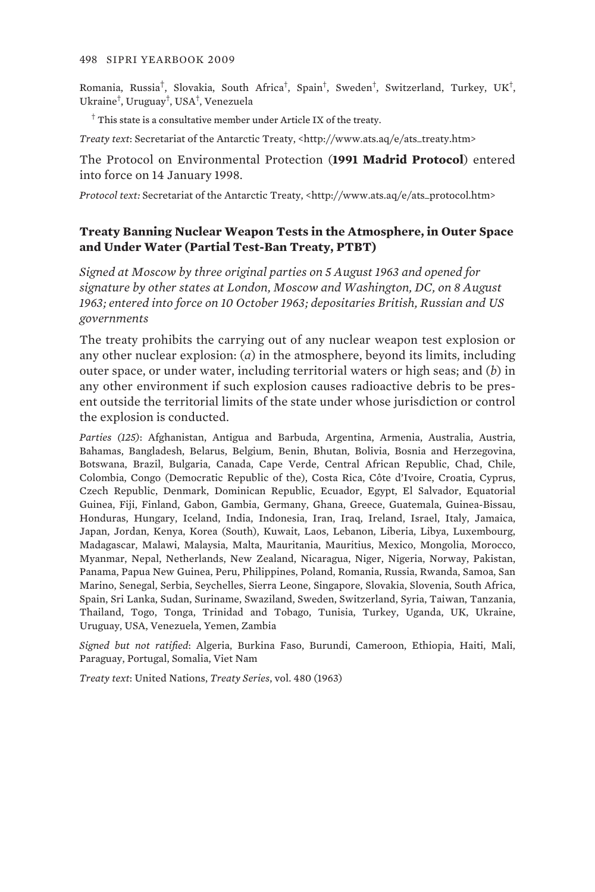Romania, Russia†, Slovakia, South Africa† , Spain† , Sweden† , Switzerland, Turkey, UK† , Ukraine† , Uruguay† , USA† , Venezuela

† This state is a consultative member under Article IX of the treaty.

*Treaty text*: Secretariat of the Antarctic Treaty, <http://www.ats.aq/e/ats\_treaty.htm>

The Protocol on Environmental Protection (**1991 Madrid Protocol**) entered into force on 14 January 1998.

*Protocol text:* Secretariat of the Antarctic Treaty, <http://www.ats.aq/e/ats\_protocol.htm>

# **Treaty Banning Nuclear Weapon Tests in the Atmosphere, in Outer Space and Under Water (Partial Test-Ban Treaty, PTBT)**

*Signed at Moscow by three original parties on 5 August 1963 and opened for signature by other states at London, Moscow and Washington, DC, on 8 August 1963; entered into force on 10 October 1963; depositaries British, Russian and US governments* 

The treaty prohibits the carrying out of any nuclear weapon test explosion or any other nuclear explosion: (*a*) in the atmosphere, beyond its limits, including outer space, or under water, including territorial waters or high seas; and (*b*) in any other environment if such explosion causes radioactive debris to be present outside the territorial limits of the state under whose jurisdiction or control the explosion is conducted.

*Parties (125)*: Afghanistan, Antigua and Barbuda, Argentina, Armenia, Australia, Austria, Bahamas, Bangladesh, Belarus, Belgium, Benin, Bhutan, Bolivia, Bosnia and Herzegovina, Botswana, Brazil, Bulgaria, Canada, Cape Verde, Central African Republic, Chad, Chile, Colombia, Congo (Democratic Republic of the), Costa Rica, Côte d'Ivoire, Croatia, Cyprus, Czech Republic, Denmark, Dominican Republic, Ecuador, Egypt, El Salvador, Equatorial Guinea, Fiji, Finland, Gabon, Gambia, Germany, Ghana, Greece, Guatemala, Guinea-Bissau, Honduras, Hungary, Iceland, India, Indonesia, Iran, Iraq, Ireland, Israel, Italy, Jamaica, Japan, Jordan, Kenya, Korea (South), Kuwait, Laos, Lebanon, Liberia, Libya, Luxembourg, Madagascar, Malawi, Malaysia, Malta, Mauritania, Mauritius, Mexico, Mongolia, Morocco, Myanmar, Nepal, Netherlands, New Zealand, Nicaragua, Niger, Nigeria, Norway, Pakistan, Panama, Papua New Guinea, Peru, Philippines, Poland, Romania, Russia, Rwanda, Samoa, San Marino, Senegal, Serbia, Seychelles, Sierra Leone, Singapore, Slovakia, Slovenia, South Africa, Spain, Sri Lanka, Sudan, Suriname, Swaziland, Sweden, Switzerland, Syria, Taiwan, Tanzania, Thailand, Togo, Tonga, Trinidad and Tobago, Tunisia, Turkey, Uganda, UK, Ukraine, Uruguay, USA, Venezuela, Yemen, Zambia

*Signed but not ratified*: Algeria, Burkina Faso, Burundi, Cameroon, Ethiopia, Haiti, Mali, Paraguay, Portugal, Somalia, Viet Nam

*Treaty text*: United Nations, *Treaty Series*, vol. 480 (1963)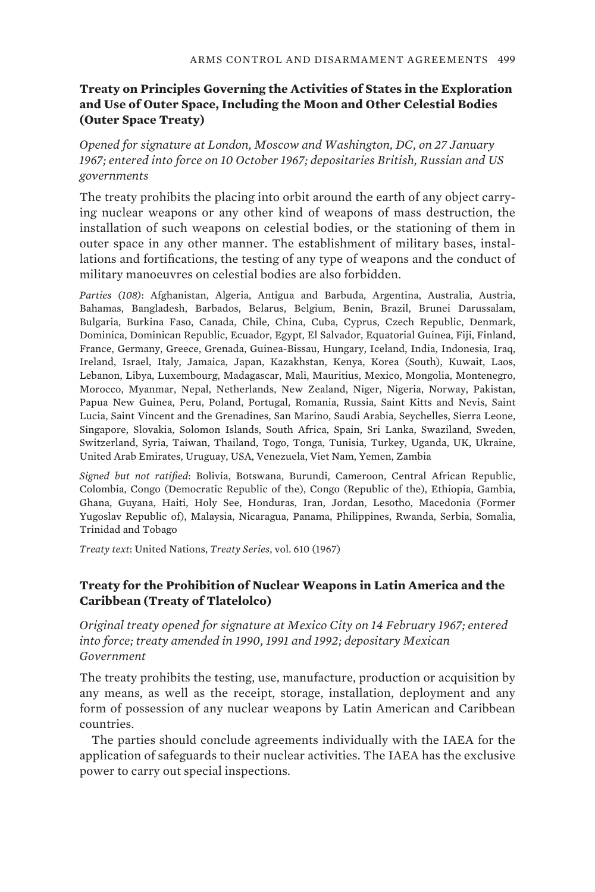# **Treaty on Principles Governing the Activities of States in the Exploration and Use of Outer Space, Including the Moon and Other Celestial Bodies (Outer Space Treaty)**

*Opened for signature at London, Moscow and Washington, DC, on 27 January 1967; entered into force on 10 October 1967; depositaries British, Russian and US governments* 

The treaty prohibits the placing into orbit around the earth of any object carrying nuclear weapons or any other kind of weapons of mass destruction, the installation of such weapons on celestial bodies, or the stationing of them in outer space in any other manner. The establishment of military bases, installations and fortifications, the testing of any type of weapons and the conduct of military manoeuvres on celestial bodies are also forbidden.

*Parties (108)*: Afghanistan, Algeria, Antigua and Barbuda, Argentina, Australia, Austria, Bahamas, Bangladesh, Barbados, Belarus, Belgium, Benin, Brazil, Brunei Darussalam, Bulgaria, Burkina Faso, Canada, Chile, China, Cuba, Cyprus, Czech Republic, Denmark, Dominica, Dominican Republic, Ecuador, Egypt, El Salvador, Equatorial Guinea, Fiji, Finland, France, Germany, Greece, Grenada, Guinea-Bissau, Hungary, Iceland, India, Indonesia, Iraq, Ireland, Israel, Italy, Jamaica, Japan, Kazakhstan, Kenya, Korea (South), Kuwait, Laos, Lebanon, Libya, Luxembourg, Madagascar, Mali, Mauritius, Mexico, Mongolia, Montenegro, Morocco, Myanmar, Nepal, Netherlands, New Zealand, Niger, Nigeria, Norway, Pakistan, Papua New Guinea, Peru, Poland, Portugal, Romania, Russia, Saint Kitts and Nevis, Saint Lucia, Saint Vincent and the Grenadines, San Marino, Saudi Arabia, Seychelles, Sierra Leone, Singapore, Slovakia, Solomon Islands, South Africa, Spain, Sri Lanka, Swaziland, Sweden, Switzerland, Syria, Taiwan, Thailand, Togo, Tonga, Tunisia, Turkey, Uganda, UK, Ukraine, United Arab Emirates, Uruguay, USA, Venezuela, Viet Nam, Yemen, Zambia

*Signed but not ratified*: Bolivia, Botswana, Burundi, Cameroon, Central African Republic, Colombia, Congo (Democratic Republic of the), Congo (Republic of the), Ethiopia, Gambia, Ghana, Guyana, Haiti, Holy See, Honduras, Iran, Jordan, Lesotho, Macedonia (Former Yugoslav Republic of), Malaysia, Nicaragua, Panama, Philippines, Rwanda, Serbia, Somalia, Trinidad and Tobago

*Treaty text*: United Nations, *Treaty Series*, vol. 610 (1967)

# **Treaty for the Prohibition of Nuclear Weapons in Latin America and the Caribbean (Treaty of Tlatelolco)**

*Original treaty opened for signature at Mexico City on 14 February 1967; entered into force; treaty amended in 1990, 1991 and 1992; depositary Mexican Government* 

The treaty prohibits the testing, use, manufacture, production or acquisition by any means, as well as the receipt, storage, installation, deployment and any form of possession of any nuclear weapons by Latin American and Caribbean countries.

The parties should conclude agreements individually with the IAEA for the application of safeguards to their nuclear activities. The IAEA has the exclusive power to carry out special inspections.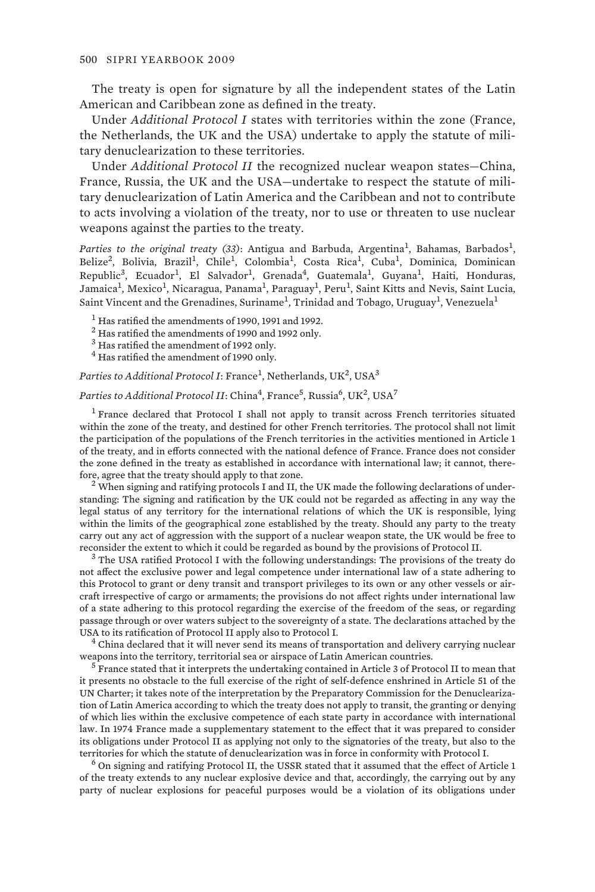The treaty is open for signature by all the independent states of the Latin American and Caribbean zone as defined in the treaty.

Under *Additional Protocol I* states with territories within the zone (France, the Netherlands, the UK and the USA) undertake to apply the statute of military denuclearization to these territories.

Under *Additional Protocol II* the recognized nuclear weapon states—China, France, Russia, the UK and the USA—undertake to respect the statute of military denuclearization of Latin America and the Caribbean and not to contribute to acts involving a violation of the treaty, nor to use or threaten to use nuclear weapons against the parties to the treaty.

*Parties to the original treaty (33)*: Antigua and Barbuda, Argentina<sup>1</sup>, Bahamas, Barbados<sup>1</sup>, Belize<sup>2</sup>, Bolivia, Brazil<sup>1</sup>, Chile<sup>1</sup>, Colombia<sup>1</sup>, Costa Rica<sup>1</sup>, Cuba<sup>1</sup>, Dominica, Dominican Republic<sup>3</sup>, Ecuador<sup>1</sup>, El Salvador<sup>1</sup>, Grenada<sup>4</sup>, Guatemala<sup>1</sup>, Guyana<sup>1</sup>, Haiti, Honduras, Jamaica<sup>1</sup>, Mexico<sup>1</sup>, Nicaragua, Panama<sup>1</sup>, Paraguay<sup>1</sup>, Peru<sup>1</sup>, Saint Kitts and Nevis, Saint Lucia, Saint Vincent and the Grenadines, Suriname<sup>1</sup>, Trinidad and Tobago, Uruguay<sup>1</sup>, Venezuela<sup>1</sup>

 $^{\rm 1}$  Has ratified the amendments of 1990, 1991 and 1992.

 $2$  Has ratified the amendments of 1990 and 1992 only.

 $^3$  Has ratified the amendment of 1992 only.

<sup>4</sup> Has ratified the amendment of 1990 only.

Parties to Additional Protocol I: France<sup>1</sup>, Netherlands, UK<sup>2</sup>, USA<sup>3</sup>

Parties to Additional Protocol II: China<sup>4</sup>, France<sup>5</sup>, Russia<sup>6</sup>, UK<sup>2</sup>, USA<sup>7</sup>

<sup>1</sup> France declared that Protocol I shall not apply to transit across French territories situated within the zone of the treaty, and destined for other French territories. The protocol shall not limit the participation of the populations of the French territories in the activities mentioned in Article 1 of the treaty, and in efforts connected with the national defence of France. France does not consider the zone defined in the treaty as established in accordance with international law; it cannot, therefore, agree that the treaty should apply to that zone.<br><sup>2</sup> When signing and ratifying protocols I and II, the UK made the following declarations of under-

standing: The signing and ratification by the UK could not be regarded as affecting in any way the legal status of any territory for the international relations of which the UK is responsible, lying within the limits of the geographical zone established by the treaty. Should any party to the treaty carry out any act of aggression with the support of a nuclear weapon state, the UK would be free to reconsider the extent to which it could be regarded as bound by the provisions of Protocol II.<br><sup>3</sup> The USA ratified Protocol I with the following understandings: The provisions of the treaty do

not affect the exclusive power and legal competence under international law of a state adhering to this Protocol to grant or deny transit and transport privileges to its own or any other vessels or aircraft irrespective of cargo or armaments; the provisions do not affect rights under international law of a state adhering to this protocol regarding the exercise of the freedom of the seas, or regarding passage through or over waters subject to the sovereignty of a state. The declarations attached by the USA to its ratification of Protocol II apply also to Protocol I. <sup>4</sup>

<sup>4</sup> China declared that it will never send its means of transportation and delivery carrying nuclear weapons into the territory, territorial sea or airspace of Latin American countries. <sup>5</sup>

<sup>5</sup> France stated that it interprets the undertaking contained in Article 3 of Protocol II to mean that it presents no obstacle to the full exercise of the right of self-defence enshrined in Article 51 of the UN Charter; it takes note of the interpretation by the Preparatory Commission for the Denuclearization of Latin America according to which the treaty does not apply to transit, the granting or denying of which lies within the exclusive competence of each state party in accordance with international law. In 1974 France made a supplementary statement to the effect that it was prepared to consider its obligations under Protocol II as applying not only to the signatories of the treaty, but also to the territories for which the statute of denuclearization was in force in conformity with Protocol I. <sup>6</sup>

 $6$  On signing and ratifying Protocol II, the USSR stated that it assumed that the effect of Article 1 of the treaty extends to any nuclear explosive device and that, accordingly, the carrying out by any party of nuclear explosions for peaceful purposes would be a violation of its obligations under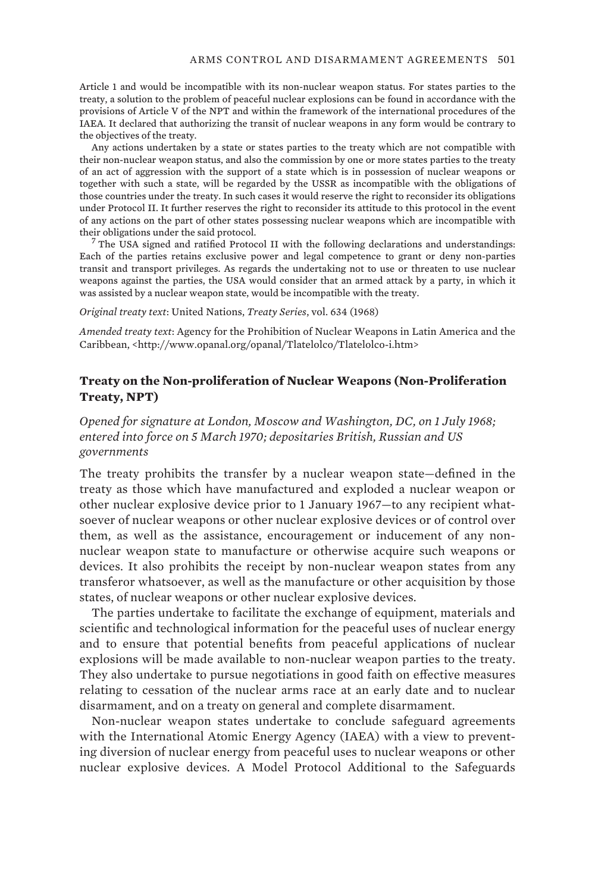Article 1 and would be incompatible with its non-nuclear weapon status. For states parties to the treaty, a solution to the problem of peaceful nuclear explosions can be found in accordance with the provisions of Article V of the NPT and within the framework of the international procedures of the IAEA. It declared that authorizing the transit of nuclear weapons in any form would be contrary to the objectives of the treaty.

Any actions undertaken by a state or states parties to the treaty which are not compatible with their non-nuclear weapon status, and also the commission by one or more states parties to the treaty of an act of aggression with the support of a state which is in possession of nuclear weapons or together with such a state, will be regarded by the USSR as incompatible with the obligations of those countries under the treaty. In such cases it would reserve the right to reconsider its obligations under Protocol II. It further reserves the right to reconsider its attitude to this protocol in the event of any actions on the part of other states possessing nuclear weapons which are incompatible with their obligations under the said protocol. <sup>7</sup>

 $<sup>7</sup>$  The USA signed and ratified Protocol II with the following declarations and understandings:</sup> Each of the parties retains exclusive power and legal competence to grant or deny non-parties transit and transport privileges. As regards the undertaking not to use or threaten to use nuclear weapons against the parties, the USA would consider that an armed attack by a party, in which it was assisted by a nuclear weapon state, would be incompatible with the treaty.

*Original treaty text*: United Nations, *Treaty Series*, vol. 634 (1968)

*Amended treaty text*: Agency for the Prohibition of Nuclear Weapons in Latin America and the Caribbean, <http://www.opanal.org/opanal/Tlatelolco/Tlatelolco-i.htm>

#### **Treaty on the Non-proliferation of Nuclear Weapons (Non-Proliferation Treaty, NPT)**

*Opened for signature at London, Moscow and Washington, DC, on 1 July 1968; entered into force on 5 March 1970; depositaries British, Russian and US governments* 

The treaty prohibits the transfer by a nuclear weapon state—defined in the treaty as those which have manufactured and exploded a nuclear weapon or other nuclear explosive device prior to 1 January 1967—to any recipient whatsoever of nuclear weapons or other nuclear explosive devices or of control over them, as well as the assistance, encouragement or inducement of any nonnuclear weapon state to manufacture or otherwise acquire such weapons or devices. It also prohibits the receipt by non-nuclear weapon states from any transferor whatsoever, as well as the manufacture or other acquisition by those states, of nuclear weapons or other nuclear explosive devices.

The parties undertake to facilitate the exchange of equipment, materials and scientific and technological information for the peaceful uses of nuclear energy and to ensure that potential benefits from peaceful applications of nuclear explosions will be made available to non-nuclear weapon parties to the treaty. They also undertake to pursue negotiations in good faith on effective measures relating to cessation of the nuclear arms race at an early date and to nuclear disarmament, and on a treaty on general and complete disarmament.

Non-nuclear weapon states undertake to conclude safeguard agreements with the International Atomic Energy Agency (IAEA) with a view to preventing diversion of nuclear energy from peaceful uses to nuclear weapons or other nuclear explosive devices. A Model Protocol Additional to the Safeguards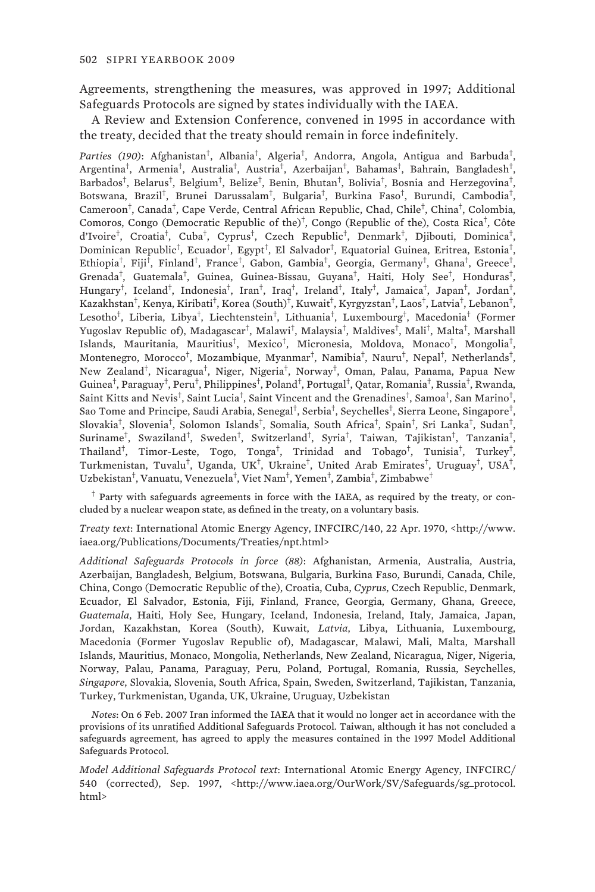Agreements, strengthening the measures, was approved in 1997; Additional Safeguards Protocols are signed by states individually with the IAEA.

A Review and Extension Conference, convened in 1995 in accordance with the treaty, decided that the treaty should remain in force indefinitely.

*Parties (190)*: Afghanistan† , Albania† , Algeria† , Andorra, Angola, Antigua and Barbuda† , Argentina $^\dagger$ , Armenia $^\dagger$ , Australia $^\dagger$ , Austria $^\dagger$ , Azerbaijan $^\dagger$ , Bahamas $^\dagger$ , Bahrain, Bangladesh $^\dagger$ , Barbados $^\dagger$ , Belarus $^\dagger$ , Belgium $^\dagger$ , Belize $^\dagger$ , Benin, Bhutan $^\dagger$ , Bolivia $^\dagger$ , Bosnia and Herzegovina $^\dagger$ , Botswana, Brazil<sup>†</sup>, Brunei Darussalam<sup>†</sup>, Bulgaria<sup>†</sup>, Burkina Faso<sup>†</sup>, Burundi, Cambodia<sup>†</sup>, Cameroon† , Canada† , Cape Verde, Central African Republic, Chad, Chile† , China† , Colombia, Comoros, Congo (Democratic Republic of the)† , Congo (Republic of the), Costa Rica† , Côte d'Ivoire<sup>†</sup>, Croatia<sup>†</sup>, Cuba<sup>†</sup>, Cyprus<sup>†</sup>, Czech Republic<sup>†</sup>, Denmark<sup>†</sup>, Djibouti, Dominica<sup>†</sup>, Dominican Republic $^\dagger$ , Ecuador $^\dagger$ , Egypt $^\dagger$ , El Salvador $^\dagger$ , Equatorial Guinea, Eritrea, Estonia $^\dagger$ , Ethiopia $^\dagger$ , Fiji $^\dagger$ , Finland $^\dagger$ , France $^\dagger$ , Gabon, Gambia $^\dagger$ , Georgia, Germany $^\dagger$ , Ghana $^\dagger$ , Greece $^\dagger$ ,  $\rm{Grenada}^\dagger, \rm{~Guatemala}^\dagger, \rm{~Guinea,~Guinea-Bissau,~Guyana}^\dagger, \rm{~Haiti,~Holy~\rm{See}^\dagger,~Honduras}^\dagger,$  $\rm{Hungary}^{\dagger},\,\, \rm{Ical}^{\dagger},\,\, \rm{Indonesia^{\dagger},\,\, \rm{Iran}^{\dagger},\,\, \rm{Iraq^{\dagger},\,\, \rm{Ireland}^{\dagger},\,\, \rm{Italy}^{\dagger},\,\, \rm{Jamanic}^{\dagger},\,\, \rm{Jordan}^{\dagger},\,\, \rm{Jordan}^{\dagger},\,\, \rm{Jtclan}^{\dagger}$  $\rm\,Kazakhstan^{\dagger}, Kenya, Kiribati^{\dagger}, Korea (South)^{\dagger}, Kuwait^{\dagger}, Kyrgyzstan^{\dagger}, Laos^{\dagger}, Latvia^{\dagger}, Lebanon^{\dagger},$ Lesotho $^\dagger$ , Liberia, Libya $^\dagger$ , Liechtenstein $^\dagger$ , Lithuania $^\dagger$ , Luxembourg $^\dagger$ , Macedonia $^\dagger$  (Former Yugoslav Republic of), Madagascar $^\dagger$ , Malawi $^\dagger$ , Malaysia $^\dagger$ , Maldives $^\dagger$ , Mali $^\dagger$ , Malta $^\dagger$ , Marshall Islands, Mauritania, Mauritius<sup>†</sup>, Mexico<sup>†</sup>, Micronesia, Moldova, Monaco<sup>†</sup>, Mongolia<sup>†</sup>,  $\rm{Montenegro, \, Moreover, \,Mozambique, \,Myanmar^{\dagger}, \, Namibia^{\dagger}, \,Nauru^{\dagger}, \, Nepal^{\dagger}, \, Netherlands^{\dagger}, }$ New Zealand† , Nicaragua† , Niger, Nigeria† , Norway† , Oman, Palau, Panama, Papua New Guinea $^\dagger$ , Paraguay $^\dagger$ , Peru $^\dagger$ , Philippines $^\dagger$ , Poland $^\dagger$ , Portugal $^\dagger$ , Qatar, Romania $^\dagger$ , Russia $^\dagger$ , Rwanda, Saint Kitts and Nevis $^\dagger$ , Saint Lucia $^\dagger$ , Saint Vincent and the Grenadines $^\dagger$ , Samoa $^\dagger$ , San Marino $^\dagger$ , Sao Tome and Principe, Saudi Arabia, Senegal $^\dagger$ , Serbia $^\dagger$ , Seychelles $^\dagger$ , Sierra Leone, Singapore $^\dagger$ , Slovakia $^\dagger$ , Slovenia $^\dagger$ , Solomon Islands $^\dagger$ , Somalia, South Africa $^\dagger$ , Spain $^\dagger$ , Sri Lanka $^\dagger$ , Sudan $^\dagger$ ,  $\text{Suriname}^\dagger, \; \text{Swaziland}^\dagger, \; \text{Sweden}^\dagger, \; \text{Switzerland}^\dagger, \; \text{Syria}^\dagger, \; \text{Taiwan}, \; \text{Tajikistan}^\dagger, \; \text{Tanzania}^\dagger,$  $\emph{Thailand}^\dagger, \quad \emph{Timor-Leste}, \quad \emph{Togo}, \quad \emph{Tonga}^\dagger, \quad \emph{Trinidad} \quad \emph{and} \quad \emph{Tobago}^\dagger, \quad \emph{Tunisia}^\dagger, \quad \emph{Turkey}^\dagger,$ Turkmenistan, Tuvalu<sup>†</sup>, Uganda, UK<sup>†</sup>, Ukraine<sup>†</sup>, United Arab Emirates<sup>†</sup>, Uruguay<sup>†</sup>, USA<sup>†</sup>, Uzbekistan $^\dagger$ , Vanuatu, Venezuela $^\dagger$ , Viet Nam $^\dagger$ , Yemen $^\dagger$ , Zambia $^\dagger$ , Zimbabwe $^\dagger$ 

 $^\dagger$  Party with safeguards agreements in force with the IAEA, as required by the treaty, or concluded by a nuclear weapon state, as defined in the treaty, on a voluntary basis.

*Treaty text*: International Atomic Energy Agency, INFCIRC/140, 22 Apr. 1970, <http://www. iaea.org/Publications/Documents/Treaties/npt.html>

*Additional Safeguards Protocols in force (88)*: Afghanistan, Armenia, Australia, Austria, Azerbaijan, Bangladesh, Belgium, Botswana, Bulgaria, Burkina Faso, Burundi, Canada, Chile, China, Congo (Democratic Republic of the), Croatia, Cuba, *Cyprus*, Czech Republic, Denmark, Ecuador, El Salvador, Estonia, Fiji, Finland, France, Georgia, Germany, Ghana, Greece, *Guatemala*, Haiti, Holy See, Hungary, Iceland, Indonesia, Ireland, Italy, Jamaica, Japan, Jordan, Kazakhstan, Korea (South), Kuwait, *Latvia*, Libya, Lithuania, Luxembourg, Macedonia (Former Yugoslav Republic of), Madagascar, Malawi, Mali, Malta, Marshall Islands, Mauritius, Monaco, Mongolia, Netherlands, New Zealand, Nicaragua, Niger, Nigeria, Norway, Palau, Panama, Paraguay, Peru, Poland, Portugal, Romania, Russia, Seychelles, *Singapore*, Slovakia, Slovenia, South Africa, Spain, Sweden, Switzerland, Tajikistan, Tanzania, Turkey, Turkmenistan, Uganda, UK, Ukraine, Uruguay, Uzbekistan

*Notes*: On 6 Feb. 2007 Iran informed the IAEA that it would no longer act in accordance with the provisions of its unratified Additional Safeguards Protocol. Taiwan, although it has not concluded a safeguards agreement, has agreed to apply the measures contained in the 1997 Model Additional Safeguards Protocol.

*Model Additional Safeguards Protocol text*: International Atomic Energy Agency, INFCIRC/ 540 (corrected), Sep. 1997, <http://www.iaea.org/OurWork/SV/Safeguards/sg\_protocol. html>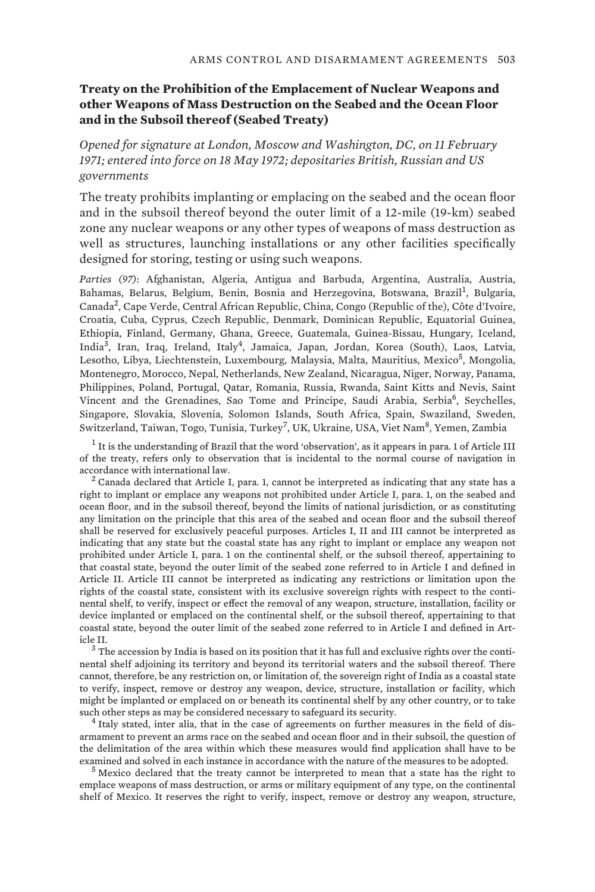#### **Treaty on the Prohibition of the Emplacement of Nuclear Weapons and other Weapons of Mass Destruction on the Seabed and the Ocean Floor and in the Subsoil thereof (Seabed Treaty)**

*Opened for signature at London, Moscow and Washington, DC, on 11 February 1971; entered into force on 18 May 1972; depositaries British, Russian and US governments* 

The treaty prohibits implanting or emplacing on the seabed and the ocean floor and in the subsoil thereof beyond the outer limit of a 12-mile (19-km) seabed zone any nuclear weapons or any other types of weapons of mass destruction as well as structures, launching installations or any other facilities specifically designed for storing, testing or using such weapons.

*Parties (97)*: Afghanistan, Algeria, Antigua and Barbuda, Argentina, Australia, Austria, Bahamas, Belarus, Belgium, Benin, Bosnia and Herzegovina, Botswana, Brazil<sup>1</sup>, Bulgaria, Canada<sup>2</sup>, Cape Verde, Central African Republic, China, Congo (Republic of the), Côte d'Ivoire, Croatia, Cuba, Cyprus, Czech Republic, Denmark, Dominican Republic, Equatorial Guinea, Ethiopia, Finland, Germany, Ghana, Greece, Guatemala, Guinea-Bissau, Hungary, Iceland, India<sup>3</sup>, Iran, Iraq, Ireland, Italy<sup>4</sup>, Jamaica, Japan, Jordan, Korea (South), Laos, Latvia, Lesotho, Libya, Liechtenstein, Luxembourg, Malaysia, Malta, Mauritius, Mexico<sup>5</sup>, Mongolia, Montenegro, Morocco, Nepal, Netherlands, New Zealand, Nicaragua, Niger, Norway, Panama, Philippines, Poland, Portugal, Qatar, Romania, Russia, Rwanda, Saint Kitts and Nevis, Saint Vincent and the Grenadines, Sao Tome and Principe, Saudi Arabia, Serbia<sup>6</sup>, Seychelles, Singapore, Slovakia, Slovenia, Solomon Islands, South Africa, Spain, Swaziland, Sweden, Switzerland, Taiwan, Togo, Tunisia, Turkey<sup>7</sup>, UK, Ukraine, USA, Viet Nam<sup>8</sup>, Yemen, Zambia

 $<sup>1</sup>$  It is the understanding of Brazil that the word 'observation', as it appears in para. 1 of Article III</sup> of the treaty, refers only to observation that is incidental to the normal course of navigation in accordance with international law. <sup>2</sup>

 $<sup>2</sup>$  Canada declared that Article I, para. 1, cannot be interpreted as indicating that any state has a</sup> right to implant or emplace any weapons not prohibited under Article I, para. 1, on the seabed and ocean floor, and in the subsoil thereof, beyond the limits of national jurisdiction, or as constituting any limitation on the principle that this area of the seabed and ocean floor and the subsoil thereof shall be reserved for exclusively peaceful purposes. Articles I, II and III cannot be interpreted as indicating that any state but the coastal state has any right to implant or emplace any weapon not prohibited under Article I, para. 1 on the continental shelf, or the subsoil thereof, appertaining to that coastal state, beyond the outer limit of the seabed zone referred to in Article I and defined in Article II. Article III cannot be interpreted as indicating any restrictions or limitation upon the rights of the coastal state, consistent with its exclusive sovereign rights with respect to the continental shelf, to verify, inspect or effect the removal of any weapon, structure, installation, facility or device implanted or emplaced on the continental shelf, or the subsoil thereof, appertaining to that coastal state, beyond the outer limit of the seabed zone referred to in Article I and defined in Article II. <sup>3</sup>

<sup>3</sup> The accession by India is based on its position that it has full and exclusive rights over the continental shelf adjoining its territory and beyond its territorial waters and the subsoil thereof. There cannot, therefore, be any restriction on, or limitation of, the sovereign right of India as a coastal state to verify, inspect, remove or destroy any weapon, device, structure, installation or facility, which might be implanted or emplaced on or beneath its continental shelf by any other country, or to take such other steps as may be considered necessary to safeguard its security. <sup>4</sup>

<sup>4</sup> Italy stated, inter alia, that in the case of agreements on further measures in the field of disarmament to prevent an arms race on the seabed and ocean floor and in their subsoil, the question of the delimitation of the area within which these measures would find application shall have to be examined and solved in each instance in accordance with the nature of the measures to be adopted. <sup>5</sup>

<sup>5</sup> Mexico declared that the treaty cannot be interpreted to mean that a state has the right to emplace weapons of mass destruction, or arms or military equipment of any type, on the continental shelf of Mexico. It reserves the right to verify, inspect, remove or destroy any weapon, structure,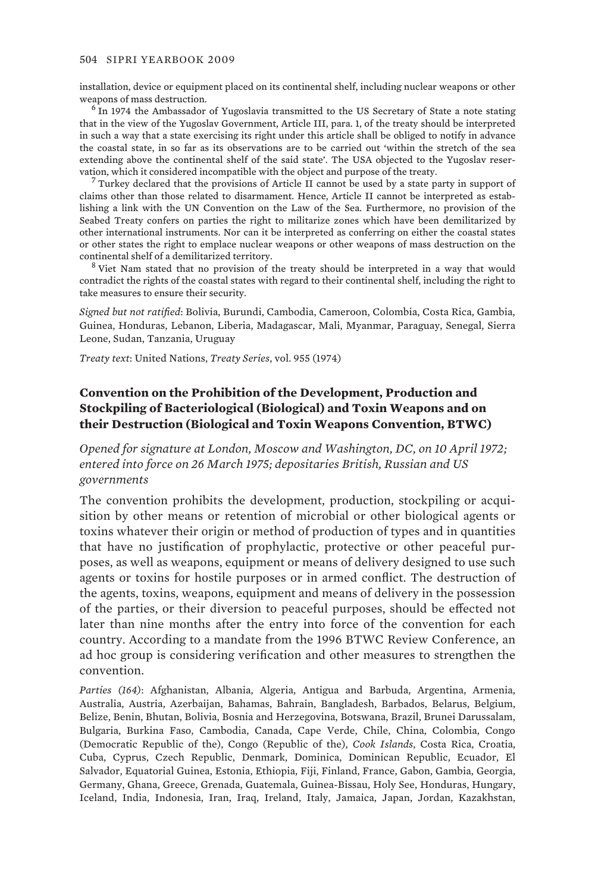installation, device or equipment placed on its continental shelf, including nuclear weapons or other weapons of mass destruction. <sup>6</sup>

 $6$ In 1974 the Ambassador of Yugoslavia transmitted to the US Secretary of State a note stating that in the view of the Yugoslav Government, Article III, para. 1, of the treaty should be interpreted in such a way that a state exercising its right under this article shall be obliged to notify in advance the coastal state, in so far as its observations are to be carried out 'within the stretch of the sea extending above the continental shelf of the said state'. The USA objected to the Yugoslav reservation, which it considered incompatible with the object and purpose of the treaty. <sup>7</sup>

Turkey declared that the provisions of Article II cannot be used by a state party in support of claims other than those related to disarmament. Hence, Article II cannot be interpreted as establishing a link with the UN Convention on the Law of the Sea. Furthermore, no provision of the Seabed Treaty confers on parties the right to militarize zones which have been demilitarized by other international instruments. Nor can it be interpreted as conferring on either the coastal states or other states the right to emplace nuclear weapons or other weapons of mass destruction on the continental shelf of a demilitarized territory.

 $8$  Viet Nam stated that no provision of the treaty should be interpreted in a way that would contradict the rights of the coastal states with regard to their continental shelf, including the right to take measures to ensure their security.

*Signed but not ratified*: Bolivia, Burundi, Cambodia, Cameroon, Colombia, Costa Rica, Gambia, Guinea, Honduras, Lebanon, Liberia, Madagascar, Mali, Myanmar, Paraguay, Senegal, Sierra Leone, Sudan, Tanzania, Uruguay

*Treaty text*: United Nations, *Treaty Series*, vol. 955 (1974)

# **Convention on the Prohibition of the Development, Production and Stockpiling of Bacteriological (Biological) and Toxin Weapons and on their Destruction (Biological and Toxin Weapons Convention, BTWC)**

*Opened for signature at London, Moscow and Washington, DC, on 10 April 1972; entered into force on 26 March 1975; depositaries British, Russian and US governments* 

The convention prohibits the development, production, stockpiling or acquisition by other means or retention of microbial or other biological agents or toxins whatever their origin or method of production of types and in quantities that have no justification of prophylactic, protective or other peaceful purposes, as well as weapons, equipment or means of delivery designed to use such agents or toxins for hostile purposes or in armed conflict. The destruction of the agents, toxins, weapons, equipment and means of delivery in the possession of the parties, or their diversion to peaceful purposes, should be effected not later than nine months after the entry into force of the convention for each country. According to a mandate from the 1996 BTWC Review Conference, an ad hoc group is considering verification and other measures to strengthen the convention.

*Parties (164)*: Afghanistan, Albania, Algeria, Antigua and Barbuda, Argentina, Armenia, Australia, Austria, Azerbaijan, Bahamas, Bahrain, Bangladesh, Barbados, Belarus, Belgium, Belize, Benin, Bhutan, Bolivia, Bosnia and Herzegovina, Botswana, Brazil, Brunei Darussalam, Bulgaria, Burkina Faso, Cambodia, Canada, Cape Verde, Chile, China, Colombia, Congo (Democratic Republic of the), Congo (Republic of the), *Cook Islands*, Costa Rica, Croatia, Cuba, Cyprus, Czech Republic, Denmark, Dominica, Dominican Republic, Ecuador, El Salvador, Equatorial Guinea, Estonia, Ethiopia, Fiji, Finland, France, Gabon, Gambia, Georgia, Germany, Ghana, Greece, Grenada, Guatemala, Guinea-Bissau, Holy See, Honduras, Hungary, Iceland, India, Indonesia, Iran, Iraq, Ireland, Italy, Jamaica, Japan, Jordan, Kazakhstan,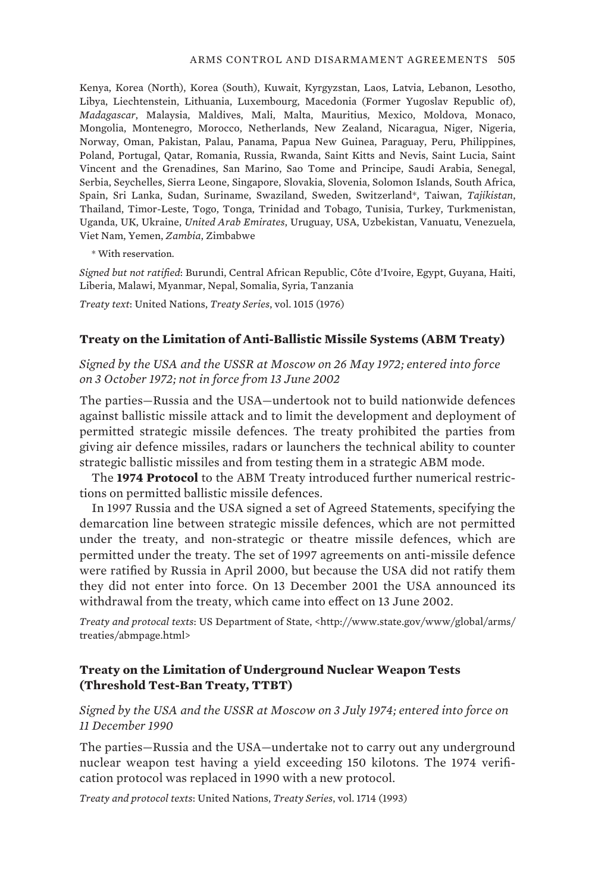Kenya, Korea (North), Korea (South), Kuwait, Kyrgyzstan, Laos, Latvia, Lebanon, Lesotho, Libya, Liechtenstein, Lithuania, Luxembourg, Macedonia (Former Yugoslav Republic of), *Madagascar*, Malaysia, Maldives, Mali, Malta, Mauritius, Mexico, Moldova, Monaco, Mongolia, Montenegro, Morocco, Netherlands, New Zealand, Nicaragua, Niger, Nigeria, Norway, Oman, Pakistan, Palau, Panama, Papua New Guinea, Paraguay, Peru, Philippines, Poland, Portugal, Qatar, Romania, Russia, Rwanda, Saint Kitts and Nevis, Saint Lucia, Saint Vincent and the Grenadines, San Marino, Sao Tome and Principe, Saudi Arabia, Senegal, Serbia, Seychelles, Sierra Leone, Singapore, Slovakia, Slovenia, Solomon Islands, South Africa, Spain, Sri Lanka, Sudan, Suriname, Swaziland, Sweden, Switzerland\*, Taiwan, *Tajikistan*, Thailand, Timor-Leste, Togo, Tonga, Trinidad and Tobago, Tunisia, Turkey, Turkmenistan, Uganda, UK, Ukraine, *United Arab Emirates*, Uruguay, USA, Uzbekistan, Vanuatu, Venezuela, Viet Nam, Yemen, *Zambia*, Zimbabwe

\* With reservation.

*Signed but not ratified*: Burundi, Central African Republic, Côte d'Ivoire, Egypt, Guyana, Haiti, Liberia, Malawi, Myanmar, Nepal, Somalia, Syria, Tanzania

*Treaty text*: United Nations, *Treaty Series*, vol. 1015 (1976)

#### **Treaty on the Limitation of Anti-Ballistic Missile Systems (ABM Treaty)**

*Signed by the USA and the USSR at Moscow on 26 May 1972; entered into force on 3 October 1972; not in force from 13 June 2002* 

The parties—Russia and the USA—undertook not to build nationwide defences against ballistic missile attack and to limit the development and deployment of permitted strategic missile defences. The treaty prohibited the parties from giving air defence missiles, radars or launchers the technical ability to counter strategic ballistic missiles and from testing them in a strategic ABM mode.

The **1974 Protocol** to the ABM Treaty introduced further numerical restrictions on permitted ballistic missile defences.

In 1997 Russia and the USA signed a set of Agreed Statements, specifying the demarcation line between strategic missile defences, which are not permitted under the treaty, and non-strategic or theatre missile defences, which are permitted under the treaty. The set of 1997 agreements on anti-missile defence were ratified by Russia in April 2000, but because the USA did not ratify them they did not enter into force. On 13 December 2001 the USA announced its withdrawal from the treaty, which came into effect on 13 June 2002.

*Treaty and protocal texts*: US Department of State, <http://www.state.gov/www/global/arms/ treaties/abmpage.html>

#### **Treaty on the Limitation of Underground Nuclear Weapon Tests (Threshold Test-Ban Treaty, TTBT)**

*Signed by the USA and the USSR at Moscow on 3 July 1974; entered into force on 11 December 1990* 

The parties—Russia and the USA—undertake not to carry out any underground nuclear weapon test having a yield exceeding 150 kilotons. The 1974 verification protocol was replaced in 1990 with a new protocol.

*Treaty and protocol texts*: United Nations, *Treaty Series*, vol. 1714 (1993)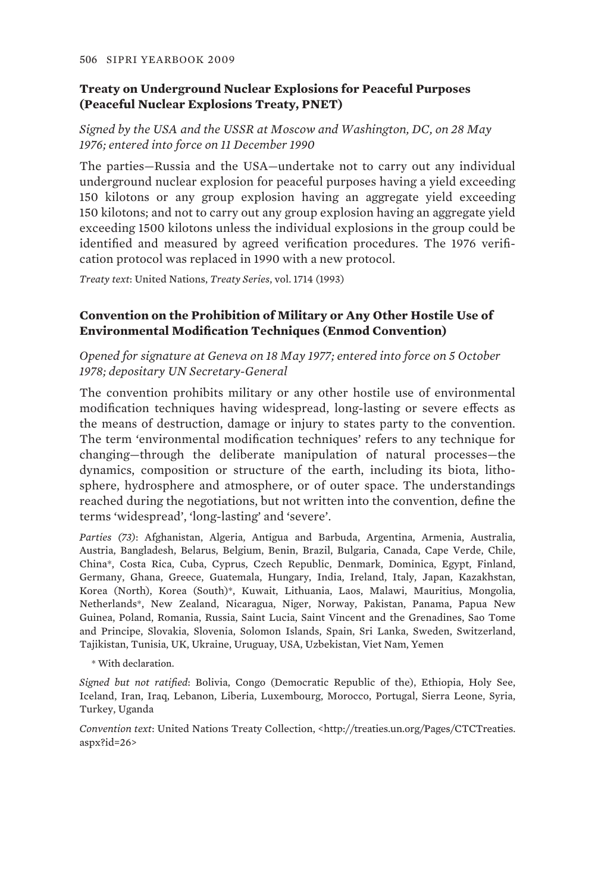# **Treaty on Underground Nuclear Explosions for Peaceful Purposes (Peaceful Nuclear Explosions Treaty, PNET)**

*Signed by the USA and the USSR at Moscow and Washington, DC, on 28 May 1976; entered into force on 11 December 1990* 

The parties—Russia and the USA—undertake not to carry out any individual underground nuclear explosion for peaceful purposes having a yield exceeding 150 kilotons or any group explosion having an aggregate yield exceeding 150 kilotons; and not to carry out any group explosion having an aggregate yield exceeding 1500 kilotons unless the individual explosions in the group could be identified and measured by agreed verification procedures. The 1976 verification protocol was replaced in 1990 with a new protocol.

*Treaty text*: United Nations, *Treaty Series*, vol. 1714 (1993)

# **Convention on the Prohibition of Military or Any Other Hostile Use of Environmental Modification Techniques (Enmod Convention)**

*Opened for signature at Geneva on 18 May 1977; entered into force on 5 October 1978; depositary UN Secretary-General* 

The convention prohibits military or any other hostile use of environmental modification techniques having widespread, long-lasting or severe effects as the means of destruction, damage or injury to states party to the convention. The term 'environmental modification techniques' refers to any technique for changing—through the deliberate manipulation of natural processes—the dynamics, composition or structure of the earth, including its biota, lithosphere, hydrosphere and atmosphere, or of outer space. The understandings reached during the negotiations, but not written into the convention, define the terms 'widespread', 'long-lasting' and 'severe'.

*Parties (73)*: Afghanistan, Algeria, Antigua and Barbuda, Argentina, Armenia, Australia, Austria, Bangladesh, Belarus, Belgium, Benin, Brazil, Bulgaria, Canada, Cape Verde, Chile, China\*, Costa Rica, Cuba, Cyprus, Czech Republic, Denmark, Dominica, Egypt, Finland, Germany, Ghana, Greece, Guatemala, Hungary, India, Ireland, Italy, Japan, Kazakhstan, Korea (North), Korea (South)\*, Kuwait, Lithuania, Laos, Malawi, Mauritius, Mongolia, Netherlands\*, New Zealand, Nicaragua, Niger, Norway, Pakistan, Panama, Papua New Guinea, Poland, Romania, Russia, Saint Lucia, Saint Vincent and the Grenadines, Sao Tome and Principe, Slovakia, Slovenia, Solomon Islands, Spain, Sri Lanka, Sweden, Switzerland, Tajikistan, Tunisia, UK, Ukraine, Uruguay, USA, Uzbekistan, Viet Nam, Yemen

\* With declaration.

*Signed but not ratified*: Bolivia, Congo (Democratic Republic of the), Ethiopia, Holy See, Iceland, Iran, Iraq, Lebanon, Liberia, Luxembourg, Morocco, Portugal, Sierra Leone, Syria, Turkey, Uganda

*Convention text*: United Nations Treaty Collection, <http://treaties.un.org/Pages/CTCTreaties. aspx?id=26>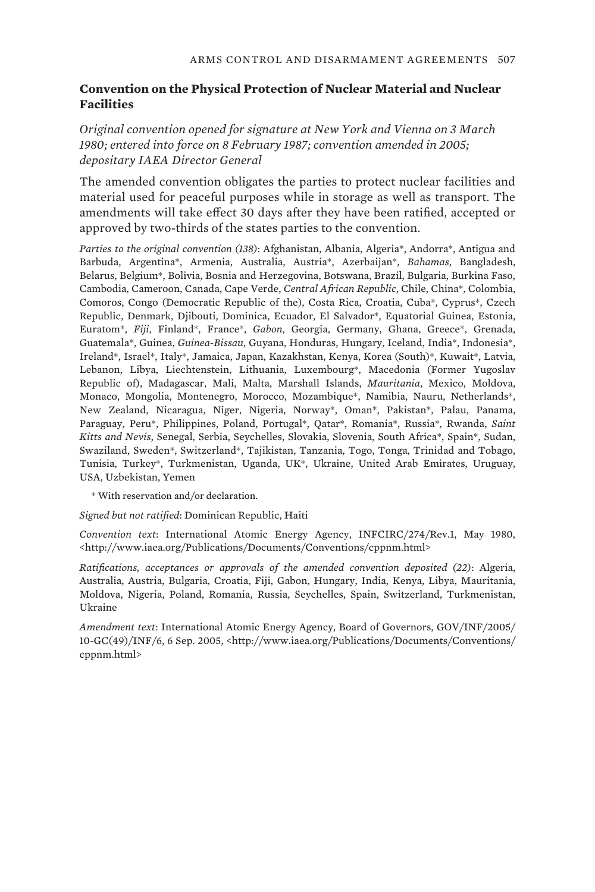# **Convention on the Physical Protection of Nuclear Material and Nuclear Facilities**

*Original convention opened for signature at New York and Vienna on 3 March 1980; entered into force on 8 February 1987; convention amended in 2005; depositary IAEA Director General* 

The amended convention obligates the parties to protect nuclear facilities and material used for peaceful purposes while in storage as well as transport. The amendments will take effect 30 days after they have been ratified, accepted or approved by two-thirds of the states parties to the convention.

*Parties to the original convention (138)*: Afghanistan, Albania, Algeria\*, Andorra\*, Antigua and Barbuda, Argentina\*, Armenia, Australia, Austria\*, Azerbaijan\*, *Bahamas*, Bangladesh, Belarus, Belgium\*, Bolivia, Bosnia and Herzegovina, Botswana, Brazil, Bulgaria, Burkina Faso, Cambodia, Cameroon, Canada, Cape Verde, *Central African Republic*, Chile, China\*, Colombia, Comoros, Congo (Democratic Republic of the), Costa Rica, Croatia, Cuba\*, Cyprus\*, Czech Republic, Denmark, Djibouti, Dominica, Ecuador, El Salvador\*, Equatorial Guinea, Estonia, Euratom\*, *Fiji*, Finland\*, France\*, *Gabon*, Georgia, Germany, Ghana, Greece\*, Grenada, Guatemala\*, Guinea, *Guinea-Bissau*, Guyana, Honduras, Hungary, Iceland, India\*, Indonesia\*, Ireland\*, Israel\*, Italy\*, Jamaica, Japan, Kazakhstan, Kenya, Korea (South)\*, Kuwait\*, Latvia, Lebanon, Libya, Liechtenstein, Lithuania, Luxembourg\*, Macedonia (Former Yugoslav Republic of), Madagascar, Mali, Malta, Marshall Islands, *Mauritania*, Mexico, Moldova, Monaco, Mongolia, Montenegro, Morocco, Mozambique\*, Namibia, Nauru, Netherlands\*, New Zealand, Nicaragua, Niger, Nigeria, Norway\*, Oman\*, Pakistan\*, Palau, Panama, Paraguay, Peru\*, Philippines, Poland, Portugal\*, Qatar\*, Romania\*, Russia\*, Rwanda, *Saint Kitts and Nevis*, Senegal, Serbia, Seychelles, Slovakia, Slovenia, South Africa\*, Spain\*, Sudan, Swaziland, Sweden\*, Switzerland\*, Tajikistan, Tanzania, Togo, Tonga, Trinidad and Tobago, Tunisia, Turkey\*, Turkmenistan, Uganda, UK\*, Ukraine, United Arab Emirates, Uruguay, USA, Uzbekistan, Yemen

\* With reservation and/or declaration.

*Signed but not ratified*: Dominican Republic, Haiti

*Convention text*: International Atomic Energy Agency, INFCIRC/274/Rev.1, May 1980, <http://www.iaea.org/Publications/Documents/Conventions/cppnm.html>

*Ratifications, acceptances or approvals of the amended convention deposited (22)*: Algeria, Australia, Austria, Bulgaria, Croatia, Fiji, Gabon, Hungary, India, Kenya, Libya, Mauritania, Moldova, Nigeria, Poland, Romania, Russia, Seychelles, Spain, Switzerland, Turkmenistan, Ukraine

*Amendment text*: International Atomic Energy Agency, Board of Governors, GOV/INF/2005/ 10-GC(49)/INF/6, 6 Sep. 2005, <http://www.iaea.org/Publications/Documents/Conventions/ cppnm.html>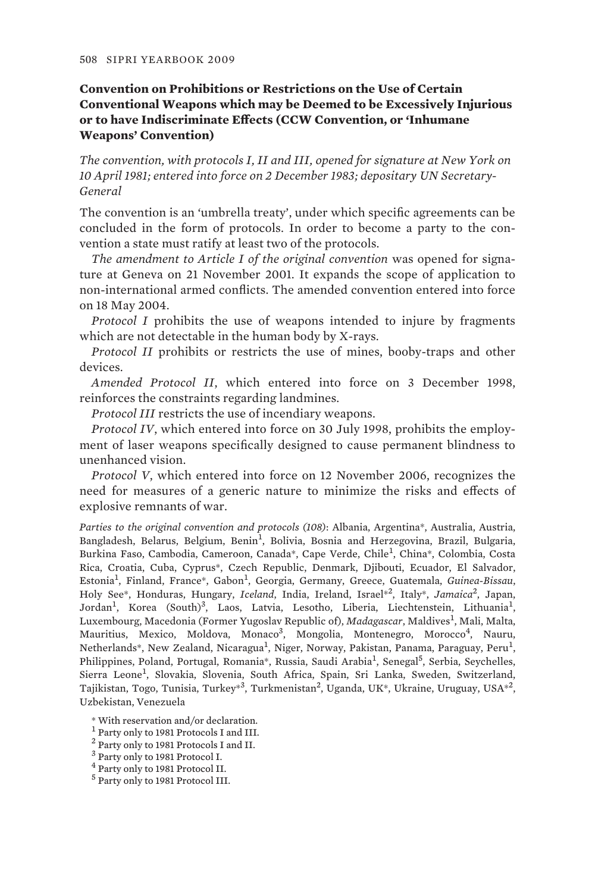# **Convention on Prohibitions or Restrictions on the Use of Certain Conventional Weapons which may be Deemed to be Excessively Injurious or to have Indiscriminate Effects (CCW Convention, or 'Inhumane Weapons' Convention)**

*The convention, with protocols I, II and III, opened for signature at New York on 10 April 1981; entered into force on 2 December 1983; depositary UN Secretary-General* 

The convention is an 'umbrella treaty', under which specific agreements can be concluded in the form of protocols. In order to become a party to the convention a state must ratify at least two of the protocols.

*The amendment to Article I of the original convention* was opened for signature at Geneva on 21 November 2001. It expands the scope of application to non-international armed conflicts. The amended convention entered into force on 18 May 2004.

*Protocol I* prohibits the use of weapons intended to injure by fragments which are not detectable in the human body by X-rays.

*Protocol II* prohibits or restricts the use of mines, booby-traps and other devices.

*Amended Protocol II*, which entered into force on 3 December 1998, reinforces the constraints regarding landmines.

*Protocol III* restricts the use of incendiary weapons.

*Protocol IV*, which entered into force on 30 July 1998, prohibits the employment of laser weapons specifically designed to cause permanent blindness to unenhanced vision.

*Protocol V*, which entered into force on 12 November 2006, recognizes the need for measures of a generic nature to minimize the risks and effects of explosive remnants of war.

*Parties to the original convention and protocols (108)*: Albania, Argentina\*, Australia, Austria, Bangladesh, Belarus, Belgium, Benin<sup>1</sup>, Bolivia, Bosnia and Herzegovina, Brazil, Bulgaria, Burkina Faso, Cambodia, Cameroon, Canada\*, Cape Verde, Chile<sup>1</sup>, China\*, Colombia, Costa Rica, Croatia, Cuba, Cyprus\*, Czech Republic, Denmark, Djibouti, Ecuador, El Salvador, Estonia1, Finland, France\*, Gabon1, Georgia, Germany, Greece, Guatemala, *Guinea-Bissau*, Holy See\*, Honduras, Hungary, *Iceland*, India, Ireland, Israel\*<sup>2</sup> , Italy\*, *Jamaica*2, Japan, Jordan<sup>1</sup>, Korea (South)<sup>3</sup>, Laos, Latvia, Lesotho, Liberia, Liechtenstein, Lithuania<sup>1</sup>, Luxembourg, Macedonia (Former Yugoslav Republic of), *Madagascar*, Maldives<sup>1</sup>, Mali, Malta, Mauritius, Mexico, Moldova, Monaco<sup>3</sup>, Mongolia, Montenegro, Morocco<sup>4</sup>, Nauru, Netherlands\*, New Zealand, Nicaragua<sup>1</sup>, Niger, Norway, Pakistan, Panama, Paraguay, Peru<sup>1</sup>, Philippines, Poland, Portugal, Romania\*, Russia, Saudi Arabia<sup>1</sup>, Senegal<sup>5</sup>, Serbia, Seychelles, Sierra Leone1, Slovakia, Slovenia, South Africa, Spain, Sri Lanka, Sweden, Switzerland, Tajikistan, Togo, Tunisia, Turkey\*<sup>3</sup>, Turkmenistan<sup>2</sup>, Uganda, UK\*, Ukraine, Uruguay, USA\*<sup>2</sup>, Uzbekistan, Venezuela

- 1 Party only to 1981 Protocols I and III.
- 2 Party only to 1981 Protocols I and II.
- 3 Party only to 1981 Protocol I.
- 4 Party only to 1981 Protocol II.
- 5 Party only to 1981 Protocol III.

<sup>\*</sup> With reservation and/or declaration.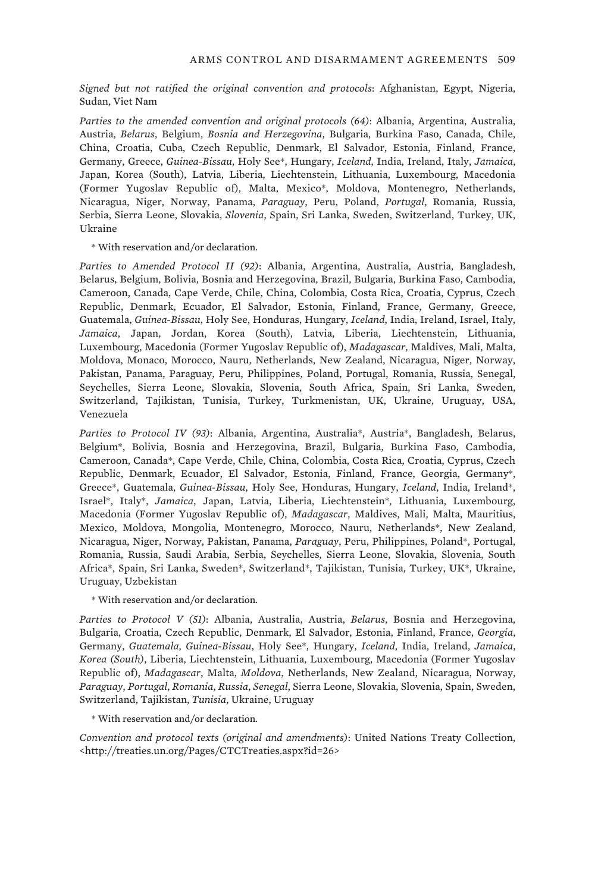*Signed but not ratified the original convention and protocols*: Afghanistan, Egypt, Nigeria, Sudan, Viet Nam

*Parties to the amended convention and original protocols (64)*: Albania, Argentina, Australia, Austria, *Belarus*, Belgium, *Bosnia and Herzegovina*, Bulgaria, Burkina Faso, Canada, Chile, China, Croatia, Cuba, Czech Republic, Denmark, El Salvador, Estonia, Finland, France, Germany, Greece, *Guinea-Bissau*, Holy See\*, Hungary, *Iceland*, India, Ireland, Italy, *Jamaica*, Japan, Korea (South), Latvia, Liberia, Liechtenstein, Lithuania, Luxembourg, Macedonia (Former Yugoslav Republic of), Malta, Mexico\*, Moldova, Montenegro, Netherlands, Nicaragua, Niger, Norway, Panama, *Paraguay*, Peru, Poland, *Portugal*, Romania, Russia, Serbia, Sierra Leone, Slovakia, *Slovenia*, Spain, Sri Lanka, Sweden, Switzerland, Turkey, UK, Ukraine

\* With reservation and/or declaration.

*Parties to Amended Protocol II (92)*: Albania, Argentina, Australia, Austria, Bangladesh, Belarus, Belgium, Bolivia, Bosnia and Herzegovina, Brazil, Bulgaria, Burkina Faso, Cambodia, Cameroon, Canada, Cape Verde, Chile, China, Colombia, Costa Rica, Croatia, Cyprus, Czech Republic, Denmark, Ecuador, El Salvador, Estonia, Finland, France, Germany, Greece, Guatemala, *Guinea-Bissau*, Holy See, Honduras, Hungary, *Iceland*, India, Ireland, Israel, Italy, *Jamaica*, Japan, Jordan, Korea (South), Latvia, Liberia, Liechtenstein, Lithuania, Luxembourg, Macedonia (Former Yugoslav Republic of), *Madagascar*, Maldives, Mali, Malta, Moldova, Monaco, Morocco, Nauru, Netherlands, New Zealand, Nicaragua, Niger, Norway, Pakistan, Panama, Paraguay, Peru, Philippines, Poland, Portugal, Romania, Russia, Senegal, Seychelles, Sierra Leone, Slovakia, Slovenia, South Africa, Spain, Sri Lanka, Sweden, Switzerland, Tajikistan, Tunisia, Turkey, Turkmenistan, UK, Ukraine, Uruguay, USA, Venezuela

*Parties to Protocol IV (93)*: Albania, Argentina, Australia\*, Austria\*, Bangladesh, Belarus, Belgium\*, Bolivia, Bosnia and Herzegovina, Brazil, Bulgaria, Burkina Faso, Cambodia, Cameroon, Canada\*, Cape Verde, Chile, China, Colombia, Costa Rica, Croatia, Cyprus, Czech Republic, Denmark, Ecuador, El Salvador, Estonia, Finland, France, Georgia, Germany\*, Greece\*, Guatemala, *Guinea-Bissau*, Holy See, Honduras, Hungary, *Iceland*, India, Ireland\*, Israel\*, Italy\*, *Jamaica*, Japan, Latvia, Liberia, Liechtenstein\*, Lithuania, Luxembourg, Macedonia (Former Yugoslav Republic of), *Madagascar*, Maldives, Mali, Malta, Mauritius, Mexico, Moldova, Mongolia, Montenegro, Morocco, Nauru, Netherlands\*, New Zealand, Nicaragua, Niger, Norway, Pakistan, Panama, *Paraguay*, Peru, Philippines, Poland\*, Portugal, Romania, Russia, Saudi Arabia, Serbia, Seychelles, Sierra Leone, Slovakia, Slovenia, South Africa\*, Spain, Sri Lanka, Sweden\*, Switzerland\*, Tajikistan, Tunisia, Turkey, UK\*, Ukraine, Uruguay, Uzbekistan

\* With reservation and/or declaration.

*Parties to Protocol V (51)*: Albania, Australia, Austria, *Belarus*, Bosnia and Herzegovina, Bulgaria, Croatia, Czech Republic, Denmark, El Salvador, Estonia, Finland, France, *Georgia*, Germany, *Guatemala*, *Guinea-Bissau*, Holy See\*, Hungary, *Iceland*, India, Ireland, *Jamaica*, *Korea (South)*, Liberia, Liechtenstein, Lithuania, Luxembourg, Macedonia (Former Yugoslav Republic of), *Madagascar*, Malta, *Moldova*, Netherlands, New Zealand, Nicaragua, Norway, *Paraguay*, *Portugal*, *Romania*, *Russia*, *Senegal*, Sierra Leone, Slovakia, Slovenia, Spain, Sweden, Switzerland, Tajikistan, *Tunisia*, Ukraine, Uruguay

\* With reservation and/or declaration.

*Convention and protocol texts (original and amendments)*: United Nations Treaty Collection, <http://treaties.un.org/Pages/CTCTreaties.aspx?id=26>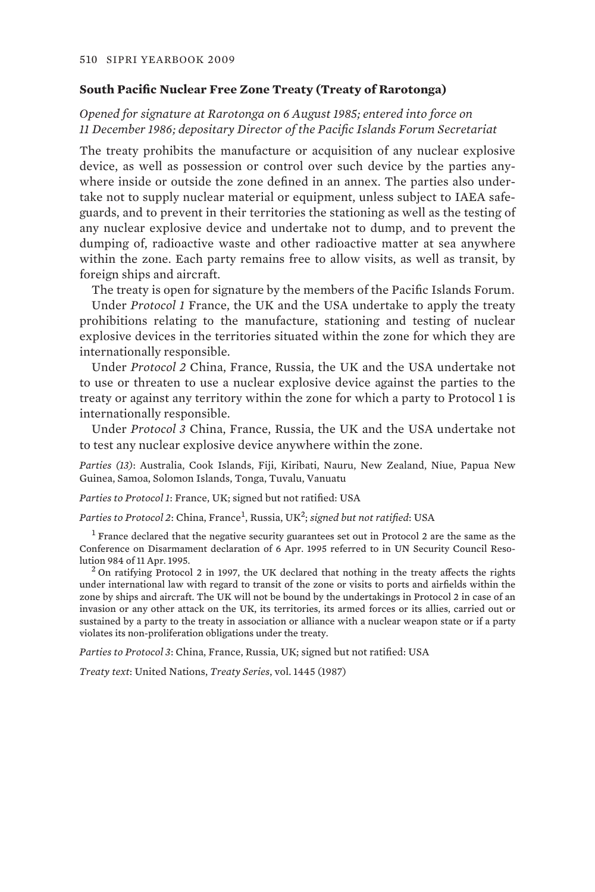#### **South Pacific Nuclear Free Zone Treaty (Treaty of Rarotonga)**

#### *Opened for signature at Rarotonga on 6 August 1985; entered into force on 11 December 1986; depositary Director of the Pacific Islands Forum Secretariat*

The treaty prohibits the manufacture or acquisition of any nuclear explosive device, as well as possession or control over such device by the parties anywhere inside or outside the zone defined in an annex. The parties also undertake not to supply nuclear material or equipment, unless subject to IAEA safeguards, and to prevent in their territories the stationing as well as the testing of any nuclear explosive device and undertake not to dump, and to prevent the dumping of, radioactive waste and other radioactive matter at sea anywhere within the zone. Each party remains free to allow visits, as well as transit, by foreign ships and aircraft.

The treaty is open for signature by the members of the Pacific Islands Forum.

Under *Protocol 1* France, the UK and the USA undertake to apply the treaty prohibitions relating to the manufacture, stationing and testing of nuclear explosive devices in the territories situated within the zone for which they are internationally responsible.

Under *Protocol 2* China, France, Russia, the UK and the USA undertake not to use or threaten to use a nuclear explosive device against the parties to the treaty or against any territory within the zone for which a party to Protocol 1 is internationally responsible.

Under *Protocol 3* China, France, Russia, the UK and the USA undertake not to test any nuclear explosive device anywhere within the zone.

*Parties (13)*: Australia, Cook Islands, Fiji, Kiribati, Nauru, New Zealand, Niue, Papua New Guinea, Samoa, Solomon Islands, Tonga, Tuvalu, Vanuatu

*Parties to Protocol 1*: France, UK; signed but not ratified: USA

*Parties to Protocol 2*: China, France<sup>1</sup> , Russia, UK2; *signed but not ratified*: USA

<sup>1</sup> France declared that the negative security guarantees set out in Protocol 2 are the same as the Conference on Disarmament declaration of 6 Apr. 1995 referred to in UN Security Council Resolution 984 of 11 Apr. 1995. <sup>2</sup>

 $2$  On ratifying Protocol 2 in 1997, the UK declared that nothing in the treaty affects the rights under international law with regard to transit of the zone or visits to ports and airfields within the zone by ships and aircraft. The UK will not be bound by the undertakings in Protocol 2 in case of an invasion or any other attack on the UK, its territories, its armed forces or its allies, carried out or sustained by a party to the treaty in association or alliance with a nuclear weapon state or if a party violates its non-proliferation obligations under the treaty.

*Parties to Protocol 3*: China, France, Russia, UK; signed but not ratified: USA

*Treaty text*: United Nations, *Treaty Series*, vol. 1445 (1987)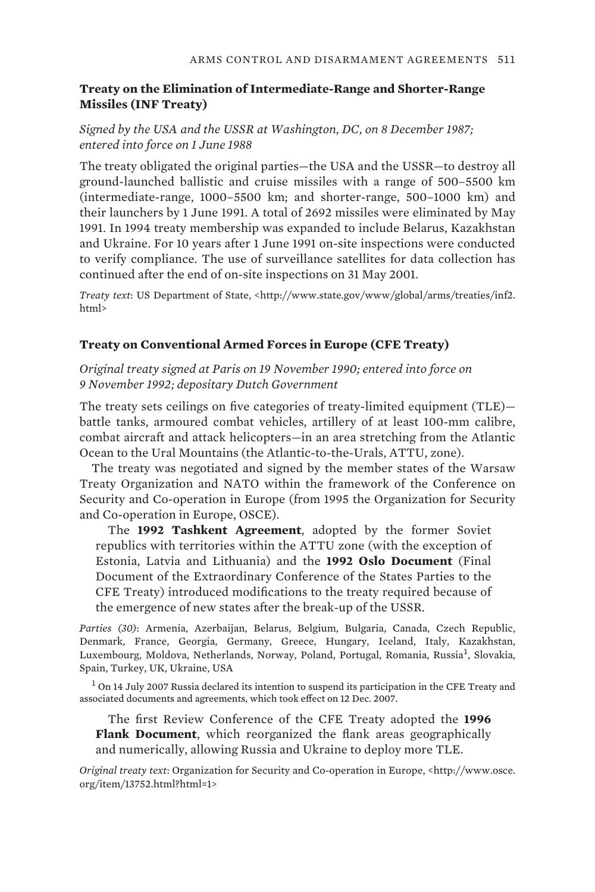#### **Treaty on the Elimination of Intermediate-Range and Shorter-Range Missiles (INF Treaty)**

*Signed by the USA and the USSR at Washington, DC, on 8 December 1987; entered into force on 1 June 1988* 

The treaty obligated the original parties—the USA and the USSR—to destroy all ground-launched ballistic and cruise missiles with a range of 500–5500 km (intermediate-range, 1000–5500 km; and shorter-range, 500–1000 km) and their launchers by 1 June 1991. A total of 2692 missiles were eliminated by May 1991. In 1994 treaty membership was expanded to include Belarus, Kazakhstan and Ukraine. For 10 years after 1 June 1991 on-site inspections were conducted to verify compliance. The use of surveillance satellites for data collection has continued after the end of on-site inspections on 31 May 2001.

*Treaty text*: US Department of State, <http://www.state.gov/www/global/arms/treaties/inf2. html>

#### **Treaty on Conventional Armed Forces in Europe (CFE Treaty)**

*Original treaty signed at Paris on 19 November 1990; entered into force on 9 November 1992; depositary Dutch Government* 

The treaty sets ceilings on five categories of treaty-limited equipment (TLE) battle tanks, armoured combat vehicles, artillery of at least 100-mm calibre, combat aircraft and attack helicopters—in an area stretching from the Atlantic Ocean to the Ural Mountains (the Atlantic-to-the-Urals, ATTU, zone).

The treaty was negotiated and signed by the member states of the Warsaw Treaty Organization and NATO within the framework of the Conference on Security and Co-operation in Europe (from 1995 the Organization for Security and Co-operation in Europe, OSCE).

The **1992 Tashkent Agreement**, adopted by the former Soviet republics with territories within the ATTU zone (with the exception of Estonia, Latvia and Lithuania) and the **1992 Oslo Document** (Final Document of the Extraordinary Conference of the States Parties to the CFE Treaty) introduced modifications to the treaty required because of the emergence of new states after the break-up of the USSR.

*Parties (30)*: Armenia, Azerbaijan, Belarus, Belgium, Bulgaria, Canada, Czech Republic, Denmark, France, Georgia, Germany, Greece, Hungary, Iceland, Italy, Kazakhstan, Luxembourg, Moldova, Netherlands, Norway, Poland, Portugal, Romania, Russia<sup>1</sup>, Slovakia, Spain, Turkey, UK, Ukraine, USA

 $^1$  On 14 July 2007 Russia declared its intention to suspend its participation in the CFE Treaty and associated documents and agreements, which took effect on 12 Dec. 2007.

The first Review Conference of the CFE Treaty adopted the **1996 Flank Document**, which reorganized the flank areas geographically and numerically, allowing Russia and Ukraine to deploy more TLE.

*Original treaty text*: Organization for Security and Co-operation in Europe, <http://www.osce. org/item/13752.html?html=1>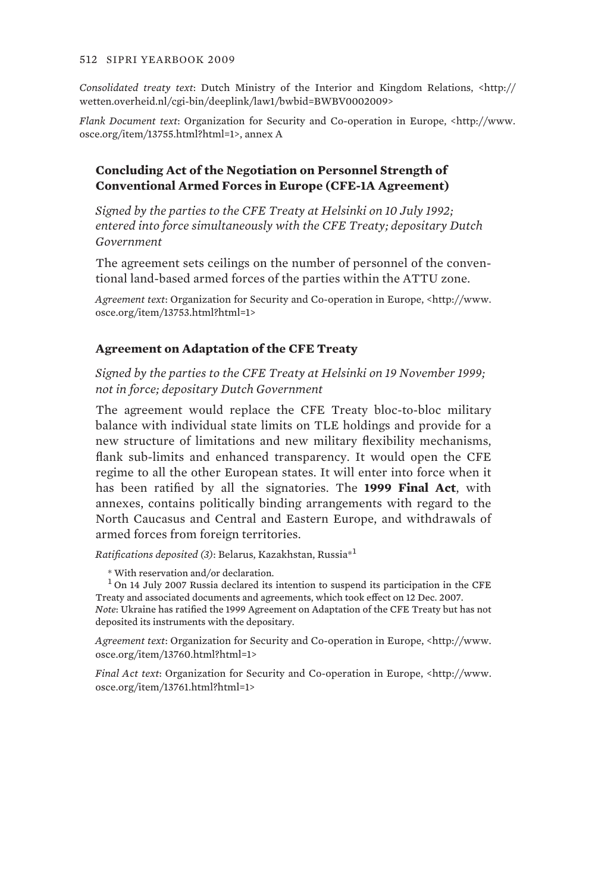*Consolidated treaty text*: Dutch Ministry of the Interior and Kingdom Relations, <http:// wetten.overheid.nl/cgi-bin/deeplink/law1/bwbid=BWBV0002009>

*Flank Document text*: Organization for Security and Co-operation in Europe, <http://www. osce.org/item/13755.html?html=1>, annex A

#### **Concluding Act of the Negotiation on Personnel Strength of Conventional Armed Forces in Europe (CFE-1A Agreement)**

*Signed by the parties to the CFE Treaty at Helsinki on 10 July 1992; entered into force simultaneously with the CFE Treaty; depositary Dutch Government* 

The agreement sets ceilings on the number of personnel of the conventional land-based armed forces of the parties within the ATTU zone.

*Agreement text*: Organization for Security and Co-operation in Europe, <http://www. osce.org/item/13753.html?html=1>

#### **Agreement on Adaptation of the CFE Treaty**

*Signed by the parties to the CFE Treaty at Helsinki on 19 November 1999; not in force; depositary Dutch Government* 

The agreement would replace the CFE Treaty bloc-to-bloc military balance with individual state limits on TLE holdings and provide for a new structure of limitations and new military flexibility mechanisms, flank sub-limits and enhanced transparency. It would open the CFE regime to all the other European states. It will enter into force when it has been ratified by all the signatories. The **1999 Final Act**, with annexes, contains politically binding arrangements with regard to the North Caucasus and Central and Eastern Europe, and withdrawals of armed forces from foreign territories.

*Ratifications deposited (3)*: Belarus, Kazakhstan, Russia\*<sup>1</sup>

\* With reservation and/or declaration.

 $1$  On 14 July 2007 Russia declared its intention to suspend its participation in the CFE Treaty and associated documents and agreements, which took effect on 12 Dec. 2007.

*Note*: Ukraine has ratified the 1999 Agreement on Adaptation of the CFE Treaty but has not deposited its instruments with the depositary.

*Agreement text*: Organization for Security and Co-operation in Europe, <http://www. osce.org/item/13760.html?html=1>

*Final Act text: Organization for Security and Co-operation in Europe, <http://www.* osce.org/item/13761.html?html=1>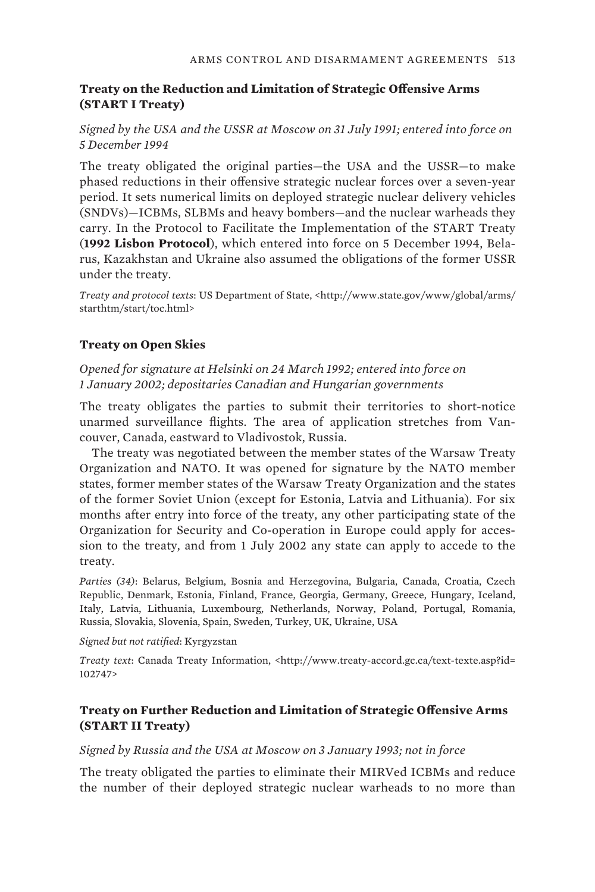# **Treaty on the Reduction and Limitation of Strategic Offensive Arms (START I Treaty)**

*Signed by the USA and the USSR at Moscow on 31 July 1991; entered into force on 5 December 1994* 

The treaty obligated the original parties—the USA and the USSR—to make phased reductions in their offensive strategic nuclear forces over a seven-year period. It sets numerical limits on deployed strategic nuclear delivery vehicles (SNDVs)—ICBMs, SLBMs and heavy bombers—and the nuclear warheads they carry. In the Protocol to Facilitate the Implementation of the START Treaty (**1992 Lisbon Protocol**), which entered into force on 5 December 1994, Belarus, Kazakhstan and Ukraine also assumed the obligations of the former USSR under the treaty.

*Treaty and protocol texts*: US Department of State, <http://www.state.gov/www/global/arms/ starthtm/start/toc.html>

# **Treaty on Open Skies**

# *Opened for signature at Helsinki on 24 March 1992; entered into force on 1 January 2002; depositaries Canadian and Hungarian governments*

The treaty obligates the parties to submit their territories to short-notice unarmed surveillance flights. The area of application stretches from Vancouver, Canada, eastward to Vladivostok, Russia.

The treaty was negotiated between the member states of the Warsaw Treaty Organization and NATO. It was opened for signature by the NATO member states, former member states of the Warsaw Treaty Organization and the states of the former Soviet Union (except for Estonia, Latvia and Lithuania). For six months after entry into force of the treaty, any other participating state of the Organization for Security and Co-operation in Europe could apply for accession to the treaty, and from 1 July 2002 any state can apply to accede to the treaty.

*Parties (34)*: Belarus, Belgium, Bosnia and Herzegovina, Bulgaria, Canada, Croatia, Czech Republic, Denmark, Estonia, Finland, France, Georgia, Germany, Greece, Hungary, Iceland, Italy, Latvia, Lithuania, Luxembourg, Netherlands, Norway, Poland, Portugal, Romania, Russia, Slovakia, Slovenia, Spain, Sweden, Turkey, UK, Ukraine, USA

#### *Signed but not ratified*: Kyrgyzstan

*Treaty text*: Canada Treaty Information, <http://www.treaty-accord.gc.ca/text-texte.asp?id= 102747>

# **Treaty on Further Reduction and Limitation of Strategic Offensive Arms (START II Treaty)**

#### *Signed by Russia and the USA at Moscow on 3 January 1993; not in force*

The treaty obligated the parties to eliminate their MIRVed ICBMs and reduce the number of their deployed strategic nuclear warheads to no more than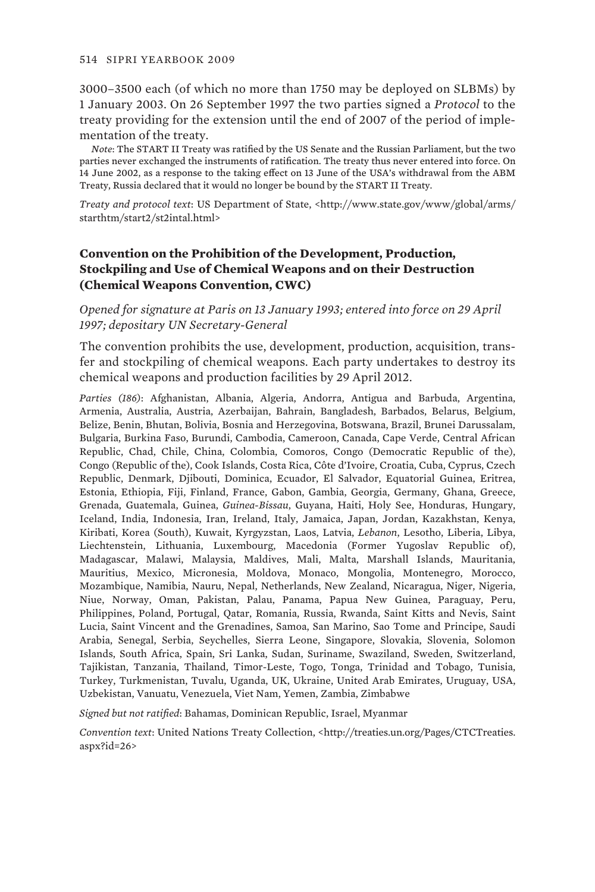3000–3500 each (of which no more than 1750 may be deployed on SLBMs) by 1 January 2003. On 26 September 1997 the two parties signed a *Protocol* to the treaty providing for the extension until the end of 2007 of the period of implementation of the treaty.

*Note*: The START II Treaty was ratified by the US Senate and the Russian Parliament, but the two parties never exchanged the instruments of ratification. The treaty thus never entered into force. On 14 June 2002, as a response to the taking effect on 13 June of the USA's withdrawal from the ABM Treaty, Russia declared that it would no longer be bound by the START II Treaty.

*Treaty and protocol text*: US Department of State, <http://www.state.gov/www/global/arms/ starthtm/start2/st2intal.html>

# **Convention on the Prohibition of the Development, Production, Stockpiling and Use of Chemical Weapons and on their Destruction (Chemical Weapons Convention, CWC)**

*Opened for signature at Paris on 13 January 1993; entered into force on 29 April 1997; depositary UN Secretary-General* 

The convention prohibits the use, development, production, acquisition, transfer and stockpiling of chemical weapons. Each party undertakes to destroy its chemical weapons and production facilities by 29 April 2012.

*Parties (186)*: Afghanistan, Albania, Algeria, Andorra, Antigua and Barbuda, Argentina, Armenia, Australia, Austria, Azerbaijan, Bahrain, Bangladesh, Barbados, Belarus, Belgium, Belize, Benin, Bhutan, Bolivia, Bosnia and Herzegovina, Botswana, Brazil, Brunei Darussalam, Bulgaria, Burkina Faso, Burundi, Cambodia, Cameroon, Canada, Cape Verde, Central African Republic, Chad, Chile, China, Colombia, Comoros, Congo (Democratic Republic of the), Congo (Republic of the), Cook Islands, Costa Rica, Côte d'Ivoire, Croatia, Cuba, Cyprus, Czech Republic, Denmark, Djibouti, Dominica, Ecuador, El Salvador, Equatorial Guinea, Eritrea, Estonia, Ethiopia, Fiji, Finland, France, Gabon, Gambia, Georgia, Germany, Ghana, Greece, Grenada, Guatemala, Guinea, *Guinea-Bissau*, Guyana, Haiti, Holy See, Honduras, Hungary, Iceland, India, Indonesia, Iran, Ireland, Italy, Jamaica, Japan, Jordan, Kazakhstan, Kenya, Kiribati, Korea (South), Kuwait, Kyrgyzstan, Laos, Latvia, *Lebanon*, Lesotho, Liberia, Libya, Liechtenstein, Lithuania, Luxembourg, Macedonia (Former Yugoslav Republic of), Madagascar, Malawi, Malaysia, Maldives, Mali, Malta, Marshall Islands, Mauritania, Mauritius, Mexico, Micronesia, Moldova, Monaco, Mongolia, Montenegro, Morocco, Mozambique, Namibia, Nauru, Nepal, Netherlands, New Zealand, Nicaragua, Niger, Nigeria, Niue, Norway, Oman, Pakistan, Palau, Panama, Papua New Guinea, Paraguay, Peru, Philippines, Poland, Portugal, Qatar, Romania, Russia, Rwanda, Saint Kitts and Nevis, Saint Lucia, Saint Vincent and the Grenadines, Samoa, San Marino, Sao Tome and Principe, Saudi Arabia, Senegal, Serbia, Seychelles, Sierra Leone, Singapore, Slovakia, Slovenia, Solomon Islands, South Africa, Spain, Sri Lanka, Sudan, Suriname, Swaziland, Sweden, Switzerland, Tajikistan, Tanzania, Thailand, Timor-Leste, Togo, Tonga, Trinidad and Tobago, Tunisia, Turkey, Turkmenistan, Tuvalu, Uganda, UK, Ukraine, United Arab Emirates, Uruguay, USA, Uzbekistan, Vanuatu, Venezuela, Viet Nam, Yemen, Zambia, Zimbabwe

*Signed but not ratified*: Bahamas, Dominican Republic, Israel, Myanmar

*Convention text*: United Nations Treaty Collection, <http://treaties.un.org/Pages/CTCTreaties. aspx?id=26>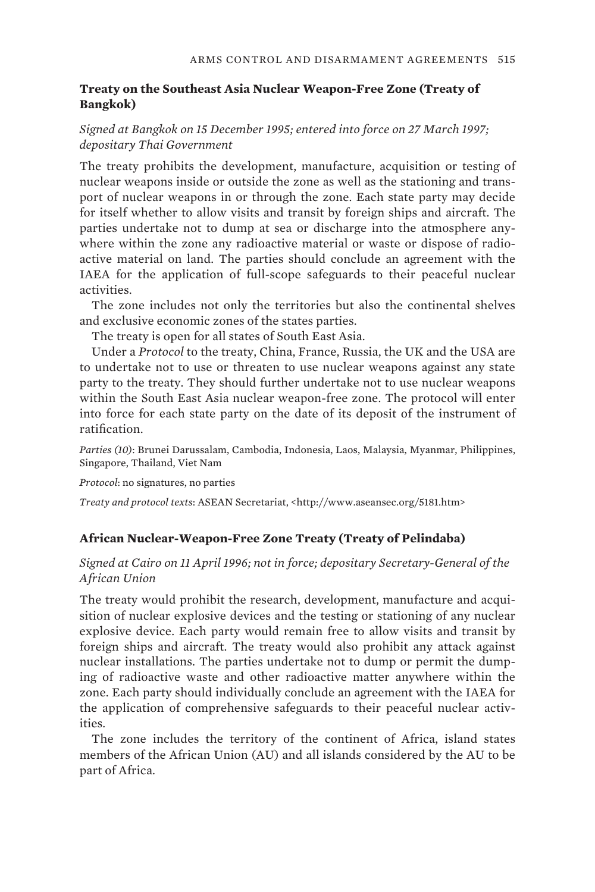#### **Treaty on the Southeast Asia Nuclear Weapon-Free Zone (Treaty of Bangkok)**

# *Signed at Bangkok on 15 December 1995; entered into force on 27 March 1997; depositary Thai Government*

The treaty prohibits the development, manufacture, acquisition or testing of nuclear weapons inside or outside the zone as well as the stationing and transport of nuclear weapons in or through the zone. Each state party may decide for itself whether to allow visits and transit by foreign ships and aircraft. The parties undertake not to dump at sea or discharge into the atmosphere anywhere within the zone any radioactive material or waste or dispose of radioactive material on land. The parties should conclude an agreement with the IAEA for the application of full-scope safeguards to their peaceful nuclear activities.

The zone includes not only the territories but also the continental shelves and exclusive economic zones of the states parties.

The treaty is open for all states of South East Asia.

Under a *Protocol* to the treaty, China, France, Russia, the UK and the USA are to undertake not to use or threaten to use nuclear weapons against any state party to the treaty. They should further undertake not to use nuclear weapons within the South East Asia nuclear weapon-free zone. The protocol will enter into force for each state party on the date of its deposit of the instrument of ratification.

*Parties (10)*: Brunei Darussalam, Cambodia, Indonesia, Laos, Malaysia, Myanmar, Philippines, Singapore, Thailand, Viet Nam

*Protocol*: no signatures, no parties

*Treaty and protocol texts*: ASEAN Secretariat, <http://www.aseansec.org/5181.htm>

#### **African Nuclear-Weapon-Free Zone Treaty (Treaty of Pelindaba)**

#### *Signed at Cairo on 11 April 1996; not in force; depositary Secretary-General of the African Union*

The treaty would prohibit the research, development, manufacture and acquisition of nuclear explosive devices and the testing or stationing of any nuclear explosive device. Each party would remain free to allow visits and transit by foreign ships and aircraft. The treaty would also prohibit any attack against nuclear installations. The parties undertake not to dump or permit the dumping of radioactive waste and other radioactive matter anywhere within the zone. Each party should individually conclude an agreement with the IAEA for the application of comprehensive safeguards to their peaceful nuclear activities.

The zone includes the territory of the continent of Africa, island states members of the African Union (AU) and all islands considered by the AU to be part of Africa.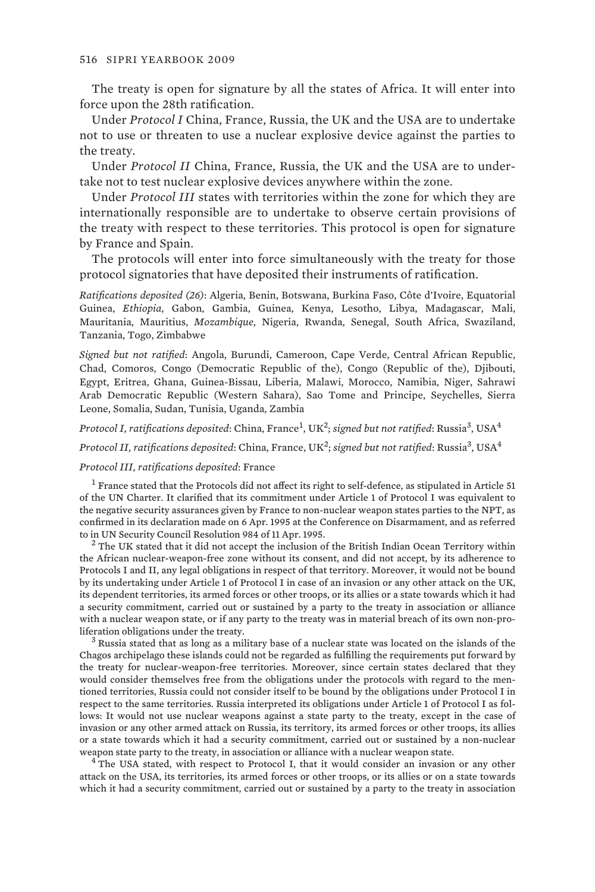The treaty is open for signature by all the states of Africa. It will enter into force upon the 28th ratification.

Under *Protocol I* China, France, Russia, the UK and the USA are to undertake not to use or threaten to use a nuclear explosive device against the parties to the treaty.

Under *Protocol II* China, France, Russia, the UK and the USA are to undertake not to test nuclear explosive devices anywhere within the zone.

Under *Protocol III* states with territories within the zone for which they are internationally responsible are to undertake to observe certain provisions of the treaty with respect to these territories. This protocol is open for signature by France and Spain.

The protocols will enter into force simultaneously with the treaty for those protocol signatories that have deposited their instruments of ratification.

*Ratifications deposited (26)*: Algeria, Benin, Botswana, Burkina Faso, Côte d'Ivoire, Equatorial Guinea, *Ethiopia*, Gabon, Gambia, Guinea, Kenya, Lesotho, Libya, Madagascar, Mali, Mauritania, Mauritius, *Mozambique*, Nigeria, Rwanda, Senegal, South Africa, Swaziland, Tanzania, Togo, Zimbabwe

*Signed but not ratified*: Angola, Burundi, Cameroon, Cape Verde, Central African Republic, Chad, Comoros, Congo (Democratic Republic of the), Congo (Republic of the), Djibouti, Egypt, Eritrea, Ghana, Guinea-Bissau, Liberia, Malawi, Morocco, Namibia, Niger, Sahrawi Arab Democratic Republic (Western Sahara), Sao Tome and Principe, Seychelles, Sierra Leone, Somalia, Sudan, Tunisia, Uganda, Zambia

*Protocol I, ratifications deposited*: China, France1, UK2; *signed but not ratified*: Russia3, USA<sup>4</sup>

*Protocol II, ratifications deposited: China, France, UK<sup>2</sup>; <i>signed but not ratified: Russia*<sup>3</sup>, USA<sup>4</sup>

#### *Protocol III, ratifications deposited*: France

 $^1$  France stated that the Protocols did not affect its right to self-defence, as stipulated in Article 51 of the UN Charter. It clarified that its commitment under Article 1 of Protocol I was equivalent to the negative security assurances given by France to non-nuclear weapon states parties to the NPT, as confirmed in its declaration made on 6 Apr. 1995 at the Conference on Disarmament, and as referred

 $2$  The UK stated that it did not accept the inclusion of the British Indian Ocean Territory within the African nuclear-weapon-free zone without its consent, and did not accept, by its adherence to Protocols I and II, any legal obligations in respect of that territory. Moreover, it would not be bound by its undertaking under Article 1 of Protocol I in case of an invasion or any other attack on the UK, its dependent territories, its armed forces or other troops, or its allies or a state towards which it had a security commitment, carried out or sustained by a party to the treaty in association or alliance with a nuclear weapon state, or if any party to the treaty was in material breach of its own non-proliferation obligations under the treaty.

Russia stated that as long as a military base of a nuclear state was located on the islands of the Chagos archipelago these islands could not be regarded as fulfilling the requirements put forward by the treaty for nuclear-weapon-free territories. Moreover, since certain states declared that they would consider themselves free from the obligations under the protocols with regard to the mentioned territories, Russia could not consider itself to be bound by the obligations under Protocol I in respect to the same territories. Russia interpreted its obligations under Article 1 of Protocol I as follows: It would not use nuclear weapons against a state party to the treaty, except in the case of invasion or any other armed attack on Russia, its territory, its armed forces or other troops, its allies or a state towards which it had a security commitment, carried out or sustained by a non-nuclear weapon state party to the treaty, in association or alliance with a nuclear weapon state. <sup>4</sup>

 $<sup>4</sup>$  The USA stated, with respect to Protocol I, that it would consider an invasion or any other</sup> attack on the USA, its territories, its armed forces or other troops, or its allies or on a state towards which it had a security commitment, carried out or sustained by a party to the treaty in association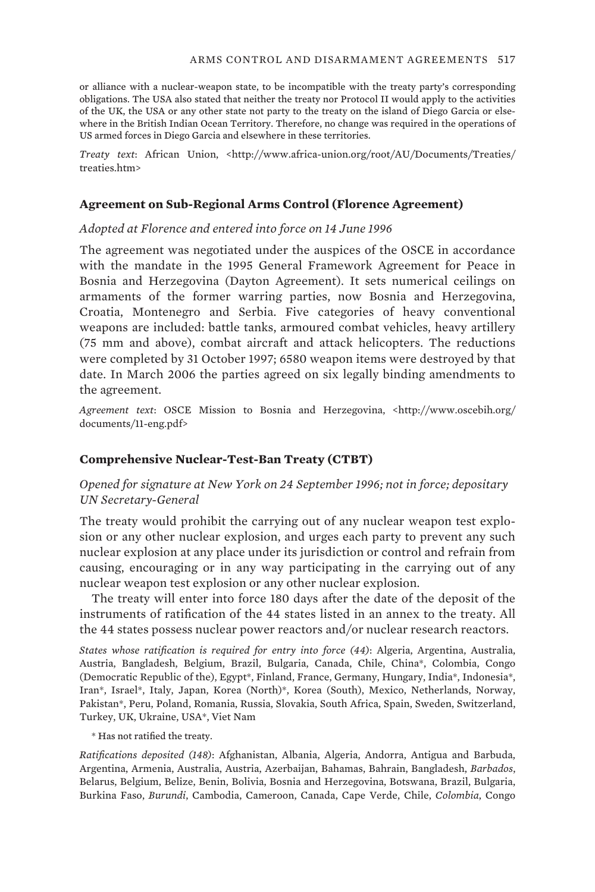or alliance with a nuclear-weapon state, to be incompatible with the treaty party's corresponding obligations. The USA also stated that neither the treaty nor Protocol II would apply to the activities of the UK, the USA or any other state not party to the treaty on the island of Diego Garcia or elsewhere in the British Indian Ocean Territory. Therefore, no change was required in the operations of US armed forces in Diego Garcia and elsewhere in these territories.

*Treaty text*: African Union, <http://www.africa-union.org/root/AU/Documents/Treaties/ treaties.htm>

#### **Agreement on Sub-Regional Arms Control (Florence Agreement)**

#### *Adopted at Florence and entered into force on 14 June 1996*

The agreement was negotiated under the auspices of the OSCE in accordance with the mandate in the 1995 General Framework Agreement for Peace in Bosnia and Herzegovina (Dayton Agreement). It sets numerical ceilings on armaments of the former warring parties, now Bosnia and Herzegovina, Croatia, Montenegro and Serbia. Five categories of heavy conventional weapons are included: battle tanks, armoured combat vehicles, heavy artillery (75 mm and above), combat aircraft and attack helicopters. The reductions were completed by 31 October 1997; 6580 weapon items were destroyed by that date. In March 2006 the parties agreed on six legally binding amendments to the agreement.

*Agreement text*: OSCE Mission to Bosnia and Herzegovina, <http://www.oscebih.org/ documents/11-eng.pdf>

#### **Comprehensive Nuclear-Test-Ban Treaty (CTBT)**

## *Opened for signature at New York on 24 September 1996; not in force; depositary UN Secretary-General*

The treaty would prohibit the carrying out of any nuclear weapon test explosion or any other nuclear explosion, and urges each party to prevent any such nuclear explosion at any place under its jurisdiction or control and refrain from causing, encouraging or in any way participating in the carrying out of any nuclear weapon test explosion or any other nuclear explosion.

The treaty will enter into force 180 days after the date of the deposit of the instruments of ratification of the 44 states listed in an annex to the treaty. All the 44 states possess nuclear power reactors and/or nuclear research reactors.

*States whose ratification is required for entry into force (44)*: Algeria, Argentina, Australia, Austria, Bangladesh, Belgium, Brazil, Bulgaria, Canada, Chile, China\*, Colombia, Congo (Democratic Republic of the), Egypt\*, Finland, France, Germany, Hungary, India\*, Indonesia\*, Iran\*, Israel\*, Italy, Japan, Korea (North)\*, Korea (South), Mexico, Netherlands, Norway, Pakistan\*, Peru, Poland, Romania, Russia, Slovakia, South Africa, Spain, Sweden, Switzerland, Turkey, UK, Ukraine, USA\*, Viet Nam

\* Has not ratified the treaty.

*Ratifications deposited (148)*: Afghanistan, Albania, Algeria, Andorra, Antigua and Barbuda, Argentina, Armenia, Australia, Austria, Azerbaijan, Bahamas, Bahrain, Bangladesh, *Barbados*, Belarus, Belgium, Belize, Benin, Bolivia, Bosnia and Herzegovina, Botswana, Brazil, Bulgaria, Burkina Faso, *Burundi*, Cambodia, Cameroon, Canada, Cape Verde, Chile, *Colombia*, Congo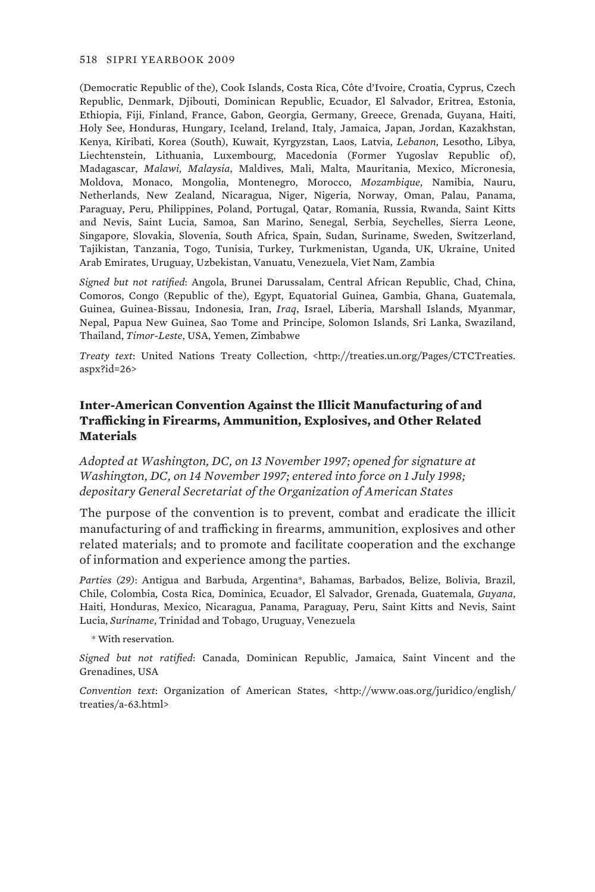(Democratic Republic of the), Cook Islands, Costa Rica, Côte d'Ivoire, Croatia, Cyprus, Czech Republic, Denmark, Djibouti, Dominican Republic, Ecuador, El Salvador, Eritrea, Estonia, Ethiopia, Fiji, Finland, France, Gabon, Georgia, Germany, Greece, Grenada, Guyana, Haiti, Holy See, Honduras, Hungary, Iceland, Ireland, Italy, Jamaica, Japan, Jordan, Kazakhstan, Kenya, Kiribati, Korea (South), Kuwait, Kyrgyzstan, Laos, Latvia, *Lebanon*, Lesotho, Libya, Liechtenstein, Lithuania, Luxembourg, Macedonia (Former Yugoslav Republic of), Madagascar, *Malawi*, *Malaysia*, Maldives, Mali, Malta, Mauritania, Mexico, Micronesia, Moldova, Monaco, Mongolia, Montenegro, Morocco, *Mozambique*, Namibia, Nauru, Netherlands, New Zealand, Nicaragua, Niger, Nigeria, Norway, Oman, Palau, Panama, Paraguay, Peru, Philippines, Poland, Portugal, Qatar, Romania, Russia, Rwanda, Saint Kitts and Nevis, Saint Lucia, Samoa, San Marino, Senegal, Serbia, Seychelles, Sierra Leone, Singapore, Slovakia, Slovenia, South Africa, Spain, Sudan, Suriname, Sweden, Switzerland, Tajikistan, Tanzania, Togo, Tunisia, Turkey, Turkmenistan, Uganda, UK, Ukraine, United Arab Emirates, Uruguay, Uzbekistan, Vanuatu, Venezuela, Viet Nam, Zambia

*Signed but not ratified*: Angola, Brunei Darussalam, Central African Republic, Chad, China, Comoros, Congo (Republic of the), Egypt, Equatorial Guinea, Gambia, Ghana, Guatemala, Guinea, Guinea-Bissau, Indonesia, Iran, *Iraq*, Israel, Liberia, Marshall Islands, Myanmar, Nepal, Papua New Guinea, Sao Tome and Principe, Solomon Islands, Sri Lanka, Swaziland, Thailand, *Timor-Leste*, USA, Yemen, Zimbabwe

*Treaty text*: United Nations Treaty Collection, <http://treaties.un.org/Pages/CTCTreaties. aspx?id=26>

# **Inter-American Convention Against the Illicit Manufacturing of and Trafficking in Firearms, Ammunition, Explosives, and Other Related Materials**

*Adopted at Washington, DC, on 13 November 1997; opened for signature at Washington, DC, on 14 November 1997; entered into force on 1 July 1998; depositary General Secretariat of the Organization of American States* 

The purpose of the convention is to prevent, combat and eradicate the illicit manufacturing of and trafficking in firearms, ammunition, explosives and other related materials; and to promote and facilitate cooperation and the exchange of information and experience among the parties.

*Parties (29)*: Antigua and Barbuda, Argentina\*, Bahamas, Barbados, Belize, Bolivia, Brazil, Chile, Colombia, Costa Rica, Dominica, Ecuador, El Salvador, Grenada, Guatemala, *Guyana*, Haiti, Honduras, Mexico, Nicaragua, Panama, Paraguay, Peru, Saint Kitts and Nevis, Saint Lucia, *Suriname*, Trinidad and Tobago, Uruguay, Venezuela

\* With reservation.

*Signed but not ratified*: Canada, Dominican Republic, Jamaica, Saint Vincent and the Grenadines, USA

Convention text: Organization of American States, <http://www.oas.org/juridico/english/ treaties/a-63.html>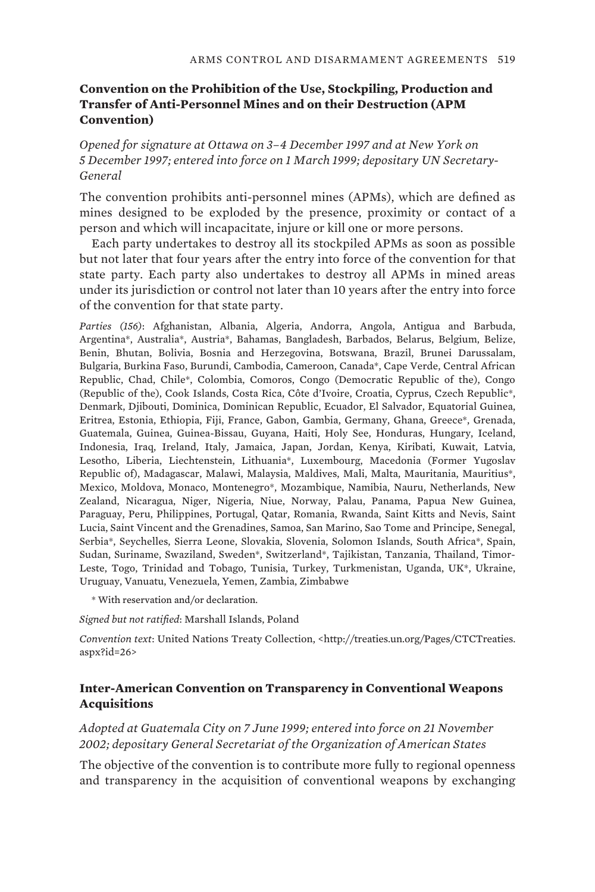# **Convention on the Prohibition of the Use, Stockpiling, Production and Transfer of Anti-Personnel Mines and on their Destruction (APM Convention)**

*Opened for signature at Ottawa on 3–4 December 1997 and at New York on 5 December 1997; entered into force on 1 March 1999; depositary UN Secretary-General* 

The convention prohibits anti-personnel mines (APMs), which are defined as mines designed to be exploded by the presence, proximity or contact of a person and which will incapacitate, injure or kill one or more persons.

Each party undertakes to destroy all its stockpiled APMs as soon as possible but not later that four years after the entry into force of the convention for that state party. Each party also undertakes to destroy all APMs in mined areas under its jurisdiction or control not later than 10 years after the entry into force of the convention for that state party.

*Parties (156)*: Afghanistan, Albania, Algeria, Andorra, Angola, Antigua and Barbuda, Argentina\*, Australia\*, Austria\*, Bahamas, Bangladesh, Barbados, Belarus, Belgium, Belize, Benin, Bhutan, Bolivia, Bosnia and Herzegovina, Botswana, Brazil, Brunei Darussalam, Bulgaria, Burkina Faso, Burundi, Cambodia, Cameroon, Canada\*, Cape Verde, Central African Republic, Chad, Chile\*, Colombia, Comoros, Congo (Democratic Republic of the), Congo (Republic of the), Cook Islands, Costa Rica, Côte d'Ivoire, Croatia, Cyprus, Czech Republic\*, Denmark, Djibouti, Dominica, Dominican Republic, Ecuador, El Salvador, Equatorial Guinea, Eritrea, Estonia, Ethiopia, Fiji, France, Gabon, Gambia, Germany, Ghana, Greece\*, Grenada, Guatemala, Guinea, Guinea-Bissau, Guyana, Haiti, Holy See, Honduras, Hungary, Iceland, Indonesia, Iraq, Ireland, Italy, Jamaica, Japan, Jordan, Kenya, Kiribati, Kuwait, Latvia, Lesotho, Liberia, Liechtenstein, Lithuania\*, Luxembourg, Macedonia (Former Yugoslav Republic of), Madagascar, Malawi, Malaysia, Maldives, Mali, Malta, Mauritania, Mauritius\*, Mexico, Moldova, Monaco, Montenegro\*, Mozambique, Namibia, Nauru, Netherlands, New Zealand, Nicaragua, Niger, Nigeria, Niue, Norway, Palau, Panama, Papua New Guinea, Paraguay, Peru, Philippines, Portugal, Qatar, Romania, Rwanda, Saint Kitts and Nevis, Saint Lucia, Saint Vincent and the Grenadines, Samoa, San Marino, Sao Tome and Principe, Senegal, Serbia\*, Seychelles, Sierra Leone, Slovakia, Slovenia, Solomon Islands, South Africa\*, Spain, Sudan, Suriname, Swaziland, Sweden\*, Switzerland\*, Tajikistan, Tanzania, Thailand, Timor-Leste, Togo, Trinidad and Tobago, Tunisia, Turkey, Turkmenistan, Uganda, UK\*, Ukraine, Uruguay, Vanuatu, Venezuela, Yemen, Zambia, Zimbabwe

\* With reservation and/or declaration.

*Signed but not ratified*: Marshall Islands, Poland

*Convention text*: United Nations Treaty Collection, <http://treaties.un.org/Pages/CTCTreaties. aspx?id=26>

# **Inter-American Convention on Transparency in Conventional Weapons Acquisitions**

*Adopted at Guatemala City on 7 June 1999; entered into force on 21 November 2002; depositary General Secretariat of the Organization of American States* 

The objective of the convention is to contribute more fully to regional openness and transparency in the acquisition of conventional weapons by exchanging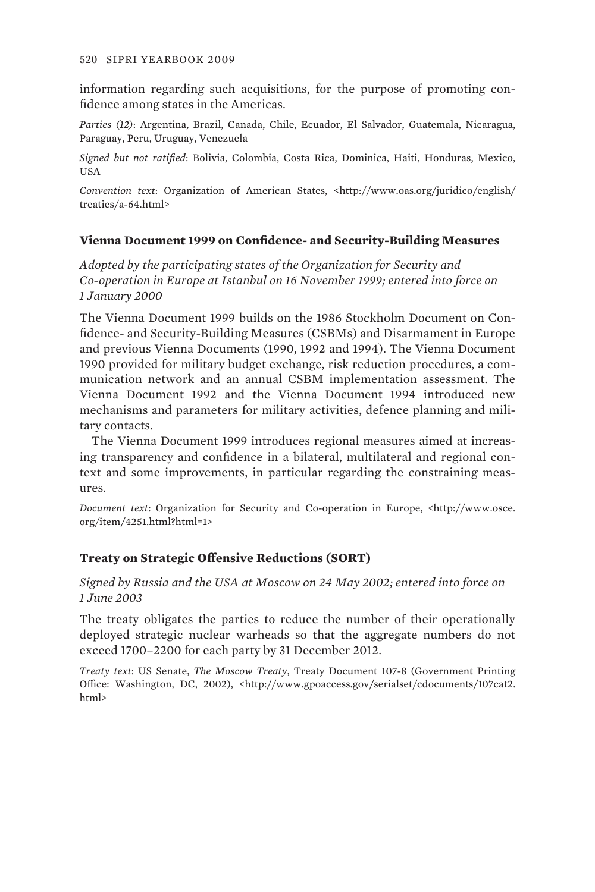information regarding such acquisitions, for the purpose of promoting confidence among states in the Americas.

*Parties (12)*: Argentina, Brazil, Canada, Chile, Ecuador, El Salvador, Guatemala, Nicaragua, Paraguay, Peru, Uruguay, Venezuela

*Signed but not ratified*: Bolivia, Colombia, Costa Rica, Dominica, Haiti, Honduras, Mexico, USA

*Convention text: Organization of American States, <http://www.oas.org/juridico/english/* treaties/a-64.html>

# **Vienna Document 1999 on Confidence- and Security-Building Measures**

*Adopted by the participating states of the Organization for Security and Co-operation in Europe at Istanbul on 16 November 1999; entered into force on 1 January 2000* 

The Vienna Document 1999 builds on the 1986 Stockholm Document on Confidence- and Security-Building Measures (CSBMs) and Disarmament in Europe and previous Vienna Documents (1990, 1992 and 1994). The Vienna Document 1990 provided for military budget exchange, risk reduction procedures, a communication network and an annual CSBM implementation assessment. The Vienna Document 1992 and the Vienna Document 1994 introduced new mechanisms and parameters for military activities, defence planning and military contacts.

The Vienna Document 1999 introduces regional measures aimed at increasing transparency and confidence in a bilateral, multilateral and regional context and some improvements, in particular regarding the constraining measures.

*Document text*: Organization for Security and Co-operation in Europe, <http://www.osce. org/item/4251.html?html=1>

# **Treaty on Strategic Offensive Reductions (SORT)**

*Signed by Russia and the USA at Moscow on 24 May 2002; entered into force on 1 June 2003* 

The treaty obligates the parties to reduce the number of their operationally deployed strategic nuclear warheads so that the aggregate numbers do not exceed 1700–2200 for each party by 31 December 2012.

*Treaty text*: US Senate, *The Moscow Treaty*, Treaty Document 107-8 (Government Printing Office: Washington, DC, 2002), <http://www.gpoaccess.gov/serialset/cdocuments/107cat2. html>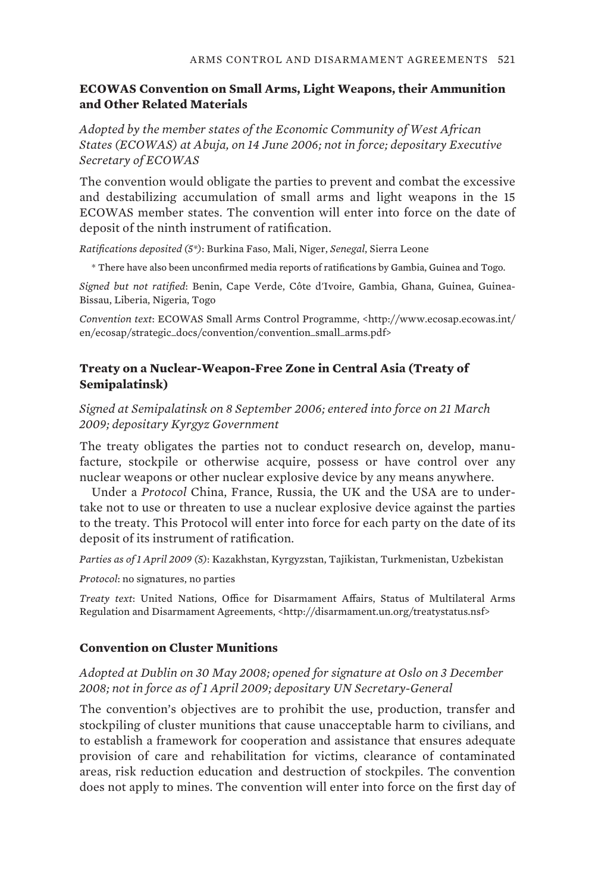#### **ECOWAS Convention on Small Arms, Light Weapons, their Ammunition and Other Related Materials**

*Adopted by the member states of the Economic Community of West African States (ECOWAS) at Abuja, on 14 June 2006; not in force; depositary Executive Secretary of ECOWAS* 

The convention would obligate the parties to prevent and combat the excessive and destabilizing accumulation of small arms and light weapons in the 15 ECOWAS member states. The convention will enter into force on the date of deposit of the ninth instrument of ratification.

*Ratifications deposited (5\*)*: Burkina Faso, Mali, Niger, *Senegal*, Sierra Leone

\* There have also been unconfirmed media reports of ratifications by Gambia, Guinea and Togo.

*Signed but not ratified*: Benin, Cape Verde, Côte d'Ivoire, Gambia, Ghana, Guinea, Guinea-Bissau, Liberia, Nigeria, Togo

*Convention text*: ECOWAS Small Arms Control Programme, <http://www.ecosap.ecowas.int/ en/ecosap/strategic\_docs/convention/convention\_small\_arms.pdf>

#### **Treaty on a Nuclear-Weapon-Free Zone in Central Asia (Treaty of Semipalatinsk)**

*Signed at Semipalatinsk on 8 September 2006; entered into force on 21 March 2009; depositary Kyrgyz Government* 

The treaty obligates the parties not to conduct research on, develop, manufacture, stockpile or otherwise acquire, possess or have control over any nuclear weapons or other nuclear explosive device by any means anywhere.

Under a *Protocol* China, France, Russia, the UK and the USA are to undertake not to use or threaten to use a nuclear explosive device against the parties to the treaty. This Protocol will enter into force for each party on the date of its deposit of its instrument of ratification.

*Parties as of 1 April 2009 (5)*: Kazakhstan, Kyrgyzstan, Tajikistan, Turkmenistan, Uzbekistan

*Protocol*: no signatures, no parties

*Treaty text*: United Nations, Office for Disarmament Affairs, Status of Multilateral Arms Regulation and Disarmament Agreements, <http://disarmament.un.org/treatystatus.nsf>

#### **Convention on Cluster Munitions**

#### *Adopted at Dublin on 30 May 2008; opened for signature at Oslo on 3 December 2008; not in force as of 1 April 2009; depositary UN Secretary-General*

The convention's objectives are to prohibit the use, production, transfer and stockpiling of cluster munitions that cause unacceptable harm to civilians, and to establish a framework for cooperation and assistance that ensures adequate provision of care and rehabilitation for victims, clearance of contaminated areas, risk reduction education and destruction of stockpiles. The convention does not apply to mines. The convention will enter into force on the first day of